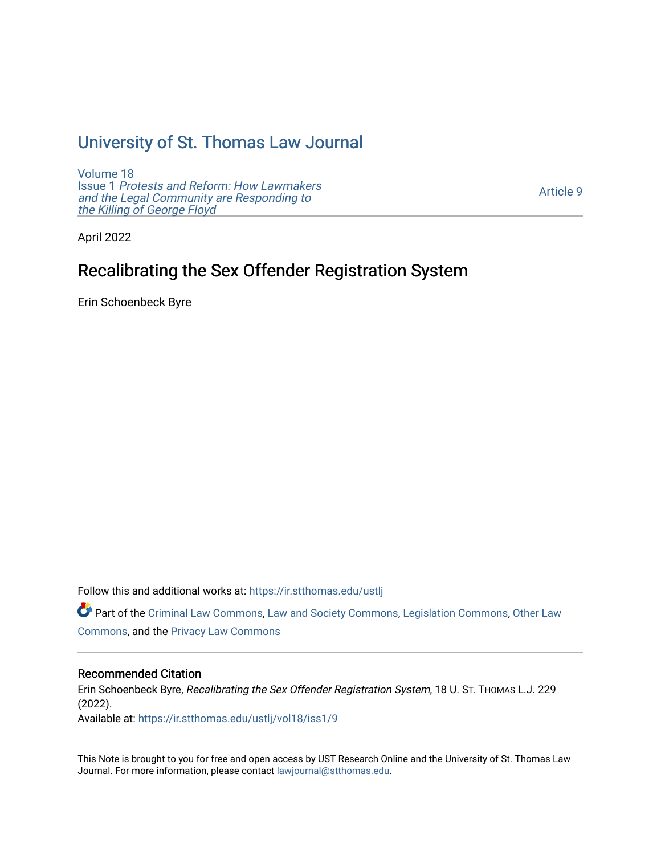## [University of St. Thomas Law Journal](https://ir.stthomas.edu/ustlj)

[Volume 18](https://ir.stthomas.edu/ustlj/vol18) Issue 1 [Protests and Reform: How Lawmakers](https://ir.stthomas.edu/ustlj/vol18/iss1)  [and the Legal Community are Responding to](https://ir.stthomas.edu/ustlj/vol18/iss1) [the Killing of George Floyd](https://ir.stthomas.edu/ustlj/vol18/iss1) 

[Article 9](https://ir.stthomas.edu/ustlj/vol18/iss1/9) 

April 2022

# Recalibrating the Sex Offender Registration System

Erin Schoenbeck Byre

Follow this and additional works at: [https://ir.stthomas.edu/ustlj](https://ir.stthomas.edu/ustlj?utm_source=ir.stthomas.edu%2Fustlj%2Fvol18%2Fiss1%2F9&utm_medium=PDF&utm_campaign=PDFCoverPages)

Part of the [Criminal Law Commons,](http://network.bepress.com/hgg/discipline/912?utm_source=ir.stthomas.edu%2Fustlj%2Fvol18%2Fiss1%2F9&utm_medium=PDF&utm_campaign=PDFCoverPages) [Law and Society Commons](http://network.bepress.com/hgg/discipline/853?utm_source=ir.stthomas.edu%2Fustlj%2Fvol18%2Fiss1%2F9&utm_medium=PDF&utm_campaign=PDFCoverPages), [Legislation Commons,](http://network.bepress.com/hgg/discipline/859?utm_source=ir.stthomas.edu%2Fustlj%2Fvol18%2Fiss1%2F9&utm_medium=PDF&utm_campaign=PDFCoverPages) [Other Law](http://network.bepress.com/hgg/discipline/621?utm_source=ir.stthomas.edu%2Fustlj%2Fvol18%2Fiss1%2F9&utm_medium=PDF&utm_campaign=PDFCoverPages) [Commons](http://network.bepress.com/hgg/discipline/621?utm_source=ir.stthomas.edu%2Fustlj%2Fvol18%2Fiss1%2F9&utm_medium=PDF&utm_campaign=PDFCoverPages), and the [Privacy Law Commons](http://network.bepress.com/hgg/discipline/1234?utm_source=ir.stthomas.edu%2Fustlj%2Fvol18%2Fiss1%2F9&utm_medium=PDF&utm_campaign=PDFCoverPages) 

#### Recommended Citation

Erin Schoenbeck Byre, Recalibrating the Sex Offender Registration System, 18 U. ST. THOMAS L.J. 229 (2022).

Available at: [https://ir.stthomas.edu/ustlj/vol18/iss1/9](https://ir.stthomas.edu/ustlj/vol18/iss1/9?utm_source=ir.stthomas.edu%2Fustlj%2Fvol18%2Fiss1%2F9&utm_medium=PDF&utm_campaign=PDFCoverPages)

This Note is brought to you for free and open access by UST Research Online and the University of St. Thomas Law Journal. For more information, please contact [lawjournal@stthomas.edu.](mailto:lawjournal@stthomas.edu)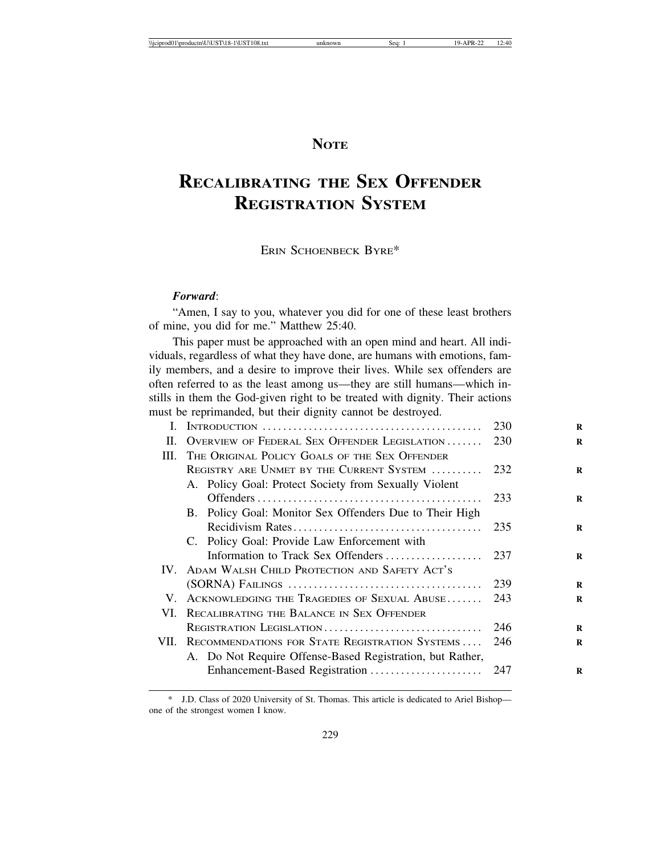### **NOTE**

# **RECALIBRATING THE SEX OFFENDER REGISTRATION SYSTEM**

#### ERIN SCHOENBECK BYRE\*

#### *Forward*:

"Amen, I say to you, whatever you did for one of these least brothers of mine, you did for me." Matthew 25:40.

This paper must be approached with an open mind and heart. All individuals, regardless of what they have done, are humans with emotions, family members, and a desire to improve their lives. While sex offenders are often referred to as the least among us—they are still humans—which instills in them the God-given right to be treated with dignity. Their actions must be reprimanded, but their dignity cannot be destroyed.

| L.   |                                                           | 230 |
|------|-----------------------------------------------------------|-----|
| H.   | OVERVIEW OF FEDERAL SEX OFFENDER LEGISLATION              | 230 |
| III. | THE ORIGINAL POLICY GOALS OF THE SEX OFFENDER             |     |
|      | REGISTRY ARE UNMET BY THE CURRENT SYSTEM                  | 232 |
|      | A. Policy Goal: Protect Society from Sexually Violent     |     |
|      |                                                           | 233 |
|      | B. Policy Goal: Monitor Sex Offenders Due to Their High   |     |
|      |                                                           | 235 |
|      | C. Policy Goal: Provide Law Enforcement with              |     |
|      | Information to Track Sex Offenders                        | 237 |
|      | IV. ADAM WALSH CHILD PROTECTION AND SAFETY ACT'S          |     |
|      |                                                           | 239 |
| V.   | ACKNOWLEDGING THE TRAGEDIES OF SEXUAL ABUSE               | 243 |
| VL.  | RECALIBRATING THE BALANCE IN SEX OFFENDER                 |     |
|      | REGISTRATION LEGISLATION                                  | 246 |
| VII. | RECOMMENDATIONS FOR STATE REGISTRATION SYSTEMS            | 246 |
|      | A. Do Not Require Offense-Based Registration, but Rather, |     |
|      |                                                           | 247 |

<sup>\*</sup> J.D. Class of 2020 University of St. Thomas. This article is dedicated to Ariel Bishop one of the strongest women I know.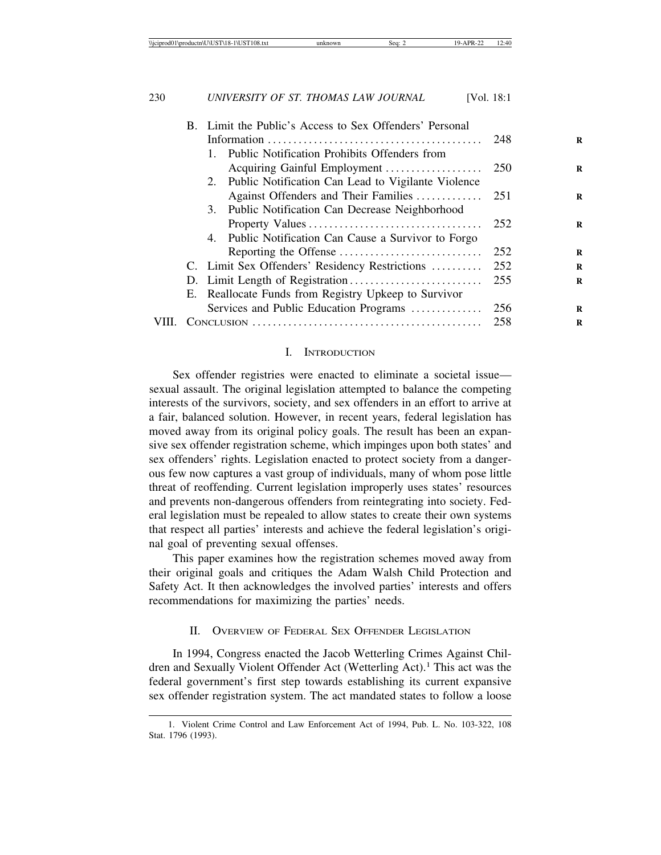| B. Limit the Public's Access to Sex Offenders' Personal |  |
|---------------------------------------------------------|--|
| 248                                                     |  |
| <b>Public Notification Prohibits Offenders from</b>     |  |
| Acquiring Gainful Employment<br>250                     |  |
| 2. Public Notification Can Lead to Vigilante Violence   |  |
| Against Offenders and Their Families<br>251             |  |
| 3. Public Notification Can Decrease Neighborhood        |  |
| 252                                                     |  |
| 4. Public Notification Can Cause a Survivor to Forgo    |  |
| 252                                                     |  |
| C. Limit Sex Offenders' Residency Restrictions<br>252   |  |
| 255                                                     |  |
| E. Reallocate Funds from Registry Upkeep to Survivor    |  |
| Services and Public Education Programs<br>256           |  |
| 258                                                     |  |
|                                                         |  |

#### I. INTRODUCTION

Sex offender registries were enacted to eliminate a societal issue sexual assault. The original legislation attempted to balance the competing interests of the survivors, society, and sex offenders in an effort to arrive at a fair, balanced solution. However, in recent years, federal legislation has moved away from its original policy goals. The result has been an expansive sex offender registration scheme, which impinges upon both states' and sex offenders' rights. Legislation enacted to protect society from a dangerous few now captures a vast group of individuals, many of whom pose little threat of reoffending. Current legislation improperly uses states' resources and prevents non-dangerous offenders from reintegrating into society. Federal legislation must be repealed to allow states to create their own systems that respect all parties' interests and achieve the federal legislation's original goal of preventing sexual offenses.

This paper examines how the registration schemes moved away from their original goals and critiques the Adam Walsh Child Protection and Safety Act. It then acknowledges the involved parties' interests and offers recommendations for maximizing the parties' needs.

#### II. OVERVIEW OF FEDERAL SEX OFFENDER LEGISLATION

In 1994, Congress enacted the Jacob Wetterling Crimes Against Children and Sexually Violent Offender Act (Wetterling Act).<sup>1</sup> This act was the federal government's first step towards establishing its current expansive sex offender registration system. The act mandated states to follow a loose

<sup>1.</sup> Violent Crime Control and Law Enforcement Act of 1994, Pub. L. No. 103-322, 108 Stat. 1796 (1993).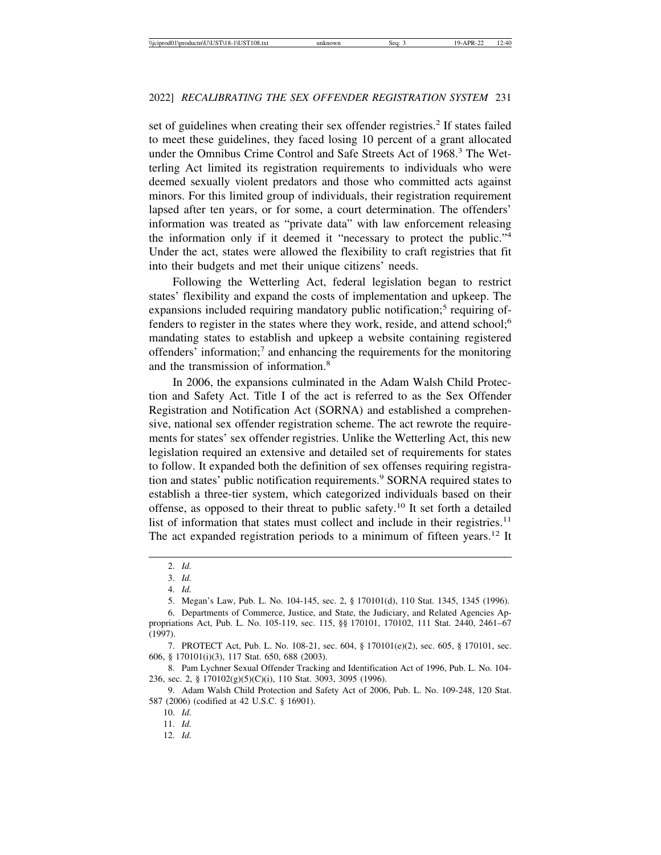set of guidelines when creating their sex offender registries.<sup>2</sup> If states failed to meet these guidelines, they faced losing 10 percent of a grant allocated under the Omnibus Crime Control and Safe Streets Act of 1968.<sup>3</sup> The Wetterling Act limited its registration requirements to individuals who were deemed sexually violent predators and those who committed acts against minors. For this limited group of individuals, their registration requirement lapsed after ten years, or for some, a court determination. The offenders' information was treated as "private data" with law enforcement releasing the information only if it deemed it "necessary to protect the public."<sup>4</sup> Under the act, states were allowed the flexibility to craft registries that fit into their budgets and met their unique citizens' needs.

Following the Wetterling Act, federal legislation began to restrict states' flexibility and expand the costs of implementation and upkeep. The expansions included requiring mandatory public notification;<sup>5</sup> requiring offenders to register in the states where they work, reside, and attend school;<sup>6</sup> mandating states to establish and upkeep a website containing registered offenders' information;<sup>7</sup> and enhancing the requirements for the monitoring and the transmission of information.<sup>8</sup>

In 2006, the expansions culminated in the Adam Walsh Child Protection and Safety Act. Title I of the act is referred to as the Sex Offender Registration and Notification Act (SORNA) and established a comprehensive, national sex offender registration scheme. The act rewrote the requirements for states' sex offender registries. Unlike the Wetterling Act, this new legislation required an extensive and detailed set of requirements for states to follow. It expanded both the definition of sex offenses requiring registration and states' public notification requirements.<sup>9</sup> SORNA required states to establish a three-tier system, which categorized individuals based on their offense, as opposed to their threat to public safety.10 It set forth a detailed list of information that states must collect and include in their registries.<sup>11</sup> The act expanded registration periods to a minimum of fifteen years.<sup>12</sup> It

<sup>2.</sup> *Id.*

<sup>3.</sup> *Id.*

<sup>4.</sup> *Id.*

<sup>5.</sup> Megan's Law, Pub. L. No. 104-145, sec. 2, § 170101(d), 110 Stat. 1345, 1345 (1996).

<sup>6.</sup> Departments of Commerce, Justice, and State, the Judiciary, and Related Agencies Appropriations Act, Pub. L. No. 105-119, sec. 115, §§ 170101, 170102, 111 Stat. 2440, 2461–67 (1997).

<sup>7.</sup> PROTECT Act, Pub. L. No. 108-21, sec. 604, § 170101(e)(2), sec. 605, § 170101, sec. 606, § 170101(i)(3), 117 Stat. 650, 688 (2003).

<sup>8.</sup> Pam Lychner Sexual Offender Tracking and Identification Act of 1996, Pub. L. No. 104- 236, sec. 2, § 170102(g)(5)(C)(i), 110 Stat. 3093, 3095 (1996).

<sup>9.</sup> Adam Walsh Child Protection and Safety Act of 2006, Pub. L. No. 109-248, 120 Stat. 587 (2006) (codified at 42 U.S.C. § 16901).

<sup>10.</sup> *Id.*

<sup>11.</sup> *Id.*

<sup>12.</sup> *Id.*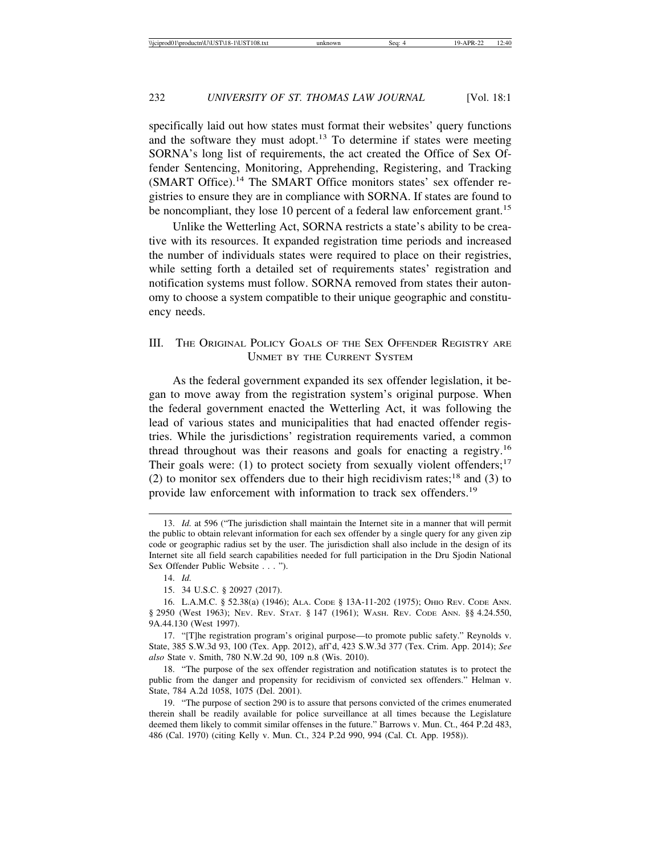specifically laid out how states must format their websites' query functions and the software they must adopt.13 To determine if states were meeting SORNA's long list of requirements, the act created the Office of Sex Offender Sentencing, Monitoring, Apprehending, Registering, and Tracking (SMART Office).14 The SMART Office monitors states' sex offender registries to ensure they are in compliance with SORNA. If states are found to be noncompliant, they lose 10 percent of a federal law enforcement grant.<sup>15</sup>

Unlike the Wetterling Act, SORNA restricts a state's ability to be creative with its resources. It expanded registration time periods and increased the number of individuals states were required to place on their registries, while setting forth a detailed set of requirements states' registration and notification systems must follow. SORNA removed from states their autonomy to choose a system compatible to their unique geographic and constituency needs.

#### III. THE ORIGINAL POLICY GOALS OF THE SEX OFFENDER REGISTRY ARE UNMET BY THE CURRENT SYSTEM

As the federal government expanded its sex offender legislation, it began to move away from the registration system's original purpose. When the federal government enacted the Wetterling Act, it was following the lead of various states and municipalities that had enacted offender registries. While the jurisdictions' registration requirements varied, a common thread throughout was their reasons and goals for enacting a registry.<sup>16</sup> Their goals were: (1) to protect society from sexually violent offenders;<sup>17</sup> (2) to monitor sex offenders due to their high recidivism rates;<sup>18</sup> and (3) to provide law enforcement with information to track sex offenders.<sup>19</sup>

17. "[T]he registration program's original purpose—to promote public safety." Reynolds v. State, 385 S.W.3d 93, 100 (Tex. App. 2012), aff'd, 423 S.W.3d 377 (Tex. Crim. App. 2014); *See also* State v. Smith, 780 N.W.2d 90, 109 n.8 (Wis. 2010).

18. "The purpose of the sex offender registration and notification statutes is to protect the public from the danger and propensity for recidivism of convicted sex offenders." Helman v. State, 784 A.2d 1058, 1075 (Del. 2001).

<sup>13.</sup> *Id.* at 596 ("The jurisdiction shall maintain the Internet site in a manner that will permit the public to obtain relevant information for each sex offender by a single query for any given zip code or geographic radius set by the user. The jurisdiction shall also include in the design of its Internet site all field search capabilities needed for full participation in the Dru Sjodin National Sex Offender Public Website . . . ").

<sup>14.</sup> *Id.*

<sup>15. 34</sup> U.S.C. § 20927 (2017).

<sup>16.</sup> L.A.M.C. § 52.38(a) (1946); ALA. CODE § 13A-11-202 (1975); OHIO REV. CODE ANN. § 2950 (West 1963); NEV. REV. STAT. § 147 (1961); WASH. REV. CODE ANN. §§ 4.24.550, 9A.44.130 (West 1997).

<sup>19. &</sup>quot;The purpose of section 290 is to assure that persons convicted of the crimes enumerated therein shall be readily available for police surveillance at all times because the Legislature deemed them likely to commit similar offenses in the future." Barrows v. Mun. Ct., 464 P.2d 483, 486 (Cal. 1970) (citing Kelly v. Mun. Ct., 324 P.2d 990, 994 (Cal. Ct. App. 1958)).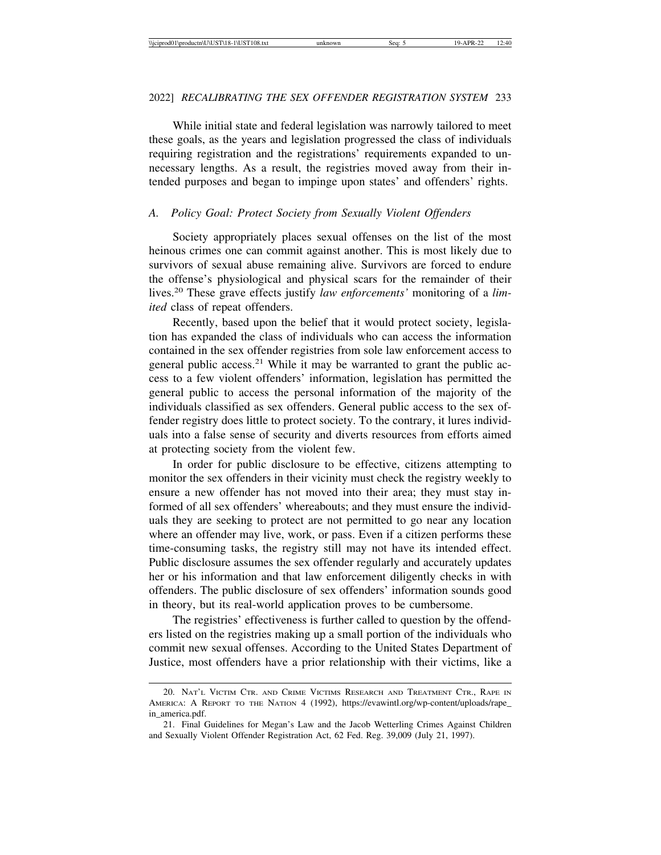While initial state and federal legislation was narrowly tailored to meet these goals, as the years and legislation progressed the class of individuals requiring registration and the registrations' requirements expanded to unnecessary lengths. As a result, the registries moved away from their intended purposes and began to impinge upon states' and offenders' rights.

#### *A. Policy Goal: Protect Society from Sexually Violent Offenders*

Society appropriately places sexual offenses on the list of the most heinous crimes one can commit against another. This is most likely due to survivors of sexual abuse remaining alive. Survivors are forced to endure the offense's physiological and physical scars for the remainder of their lives.20 These grave effects justify *law enforcements'* monitoring of a *limited* class of repeat offenders.

Recently, based upon the belief that it would protect society, legislation has expanded the class of individuals who can access the information contained in the sex offender registries from sole law enforcement access to general public access.<sup>21</sup> While it may be warranted to grant the public access to a few violent offenders' information, legislation has permitted the general public to access the personal information of the majority of the individuals classified as sex offenders. General public access to the sex offender registry does little to protect society. To the contrary, it lures individuals into a false sense of security and diverts resources from efforts aimed at protecting society from the violent few.

In order for public disclosure to be effective, citizens attempting to monitor the sex offenders in their vicinity must check the registry weekly to ensure a new offender has not moved into their area; they must stay informed of all sex offenders' whereabouts; and they must ensure the individuals they are seeking to protect are not permitted to go near any location where an offender may live, work, or pass. Even if a citizen performs these time-consuming tasks, the registry still may not have its intended effect. Public disclosure assumes the sex offender regularly and accurately updates her or his information and that law enforcement diligently checks in with offenders. The public disclosure of sex offenders' information sounds good in theory, but its real-world application proves to be cumbersome.

The registries' effectiveness is further called to question by the offenders listed on the registries making up a small portion of the individuals who commit new sexual offenses. According to the United States Department of Justice, most offenders have a prior relationship with their victims, like a

<sup>20.</sup> NAT'L VICTIM CTR. AND CRIME VICTIMS RESEARCH AND TREATMENT CTR., RAPE IN AMERICA: A REPORT TO THE NATION 4 (1992), https://evawintl.org/wp-content/uploads/rape\_ in\_america.pdf.

<sup>21.</sup> Final Guidelines for Megan's Law and the Jacob Wetterling Crimes Against Children and Sexually Violent Offender Registration Act, 62 Fed. Reg. 39,009 (July 21, 1997).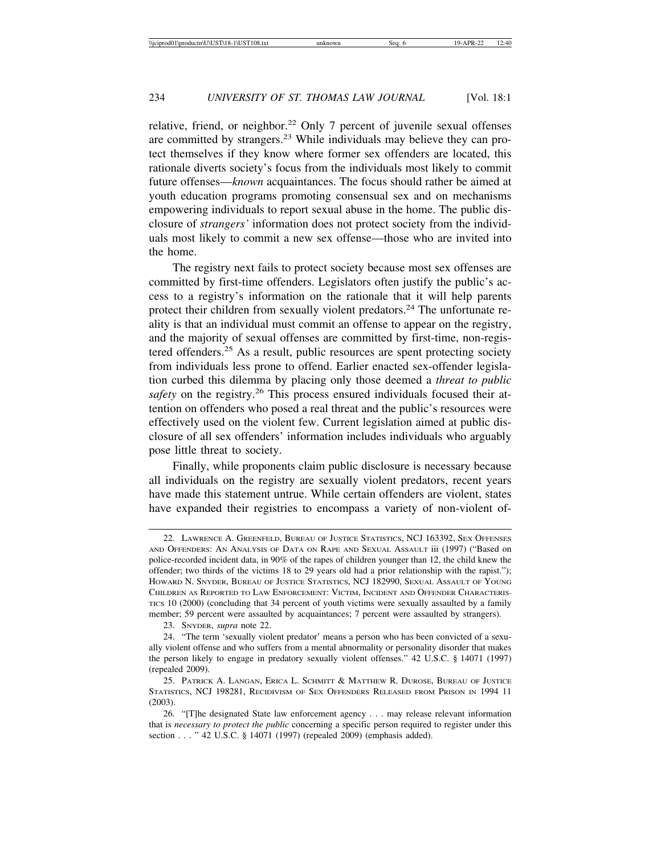relative, friend, or neighbor.<sup>22</sup> Only 7 percent of juvenile sexual offenses are committed by strangers.23 While individuals may believe they can protect themselves if they know where former sex offenders are located, this rationale diverts society's focus from the individuals most likely to commit future offenses—*known* acquaintances. The focus should rather be aimed at youth education programs promoting consensual sex and on mechanisms empowering individuals to report sexual abuse in the home. The public disclosure of *strangers'* information does not protect society from the individuals most likely to commit a new sex offense—those who are invited into the home.

The registry next fails to protect society because most sex offenses are committed by first-time offenders. Legislators often justify the public's access to a registry's information on the rationale that it will help parents protect their children from sexually violent predators.<sup>24</sup> The unfortunate reality is that an individual must commit an offense to appear on the registry, and the majority of sexual offenses are committed by first-time, non-registered offenders.25 As a result, public resources are spent protecting society from individuals less prone to offend. Earlier enacted sex-offender legislation curbed this dilemma by placing only those deemed a *threat to public* safety on the registry.<sup>26</sup> This process ensured individuals focused their attention on offenders who posed a real threat and the public's resources were effectively used on the violent few. Current legislation aimed at public disclosure of all sex offenders' information includes individuals who arguably pose little threat to society.

Finally, while proponents claim public disclosure is necessary because all individuals on the registry are sexually violent predators, recent years have made this statement untrue. While certain offenders are violent, states have expanded their registries to encompass a variety of non-violent of-

23. SNYDER, *supra* note 22.

<sup>22.</sup> LAWRENCE A. GREENFELD, BUREAU OF JUSTICE STATISTICS, NCJ 163392, SEX OFFENSES AND OFFENDERS: AN ANALYSIS OF DATA ON RAPE AND SEXUAL ASSAULT iii (1997) ("Based on police-recorded incident data, in 90% of the rapes of children younger than 12, the child knew the offender; two thirds of the victims 18 to 29 years old had a prior relationship with the rapist."); HOWARD N. SNYDER, BUREAU OF JUSTICE STATISTICS, NCJ 182990, SEXUAL ASSAULT OF YOUNG CHILDREN AS REPORTED TO LAW ENFORCEMENT: VICTIM, INCIDENT AND OFFENDER CHARACTERIS-TICS 10 (2000) (concluding that 34 percent of youth victims were sexually assaulted by a family member; 59 percent were assaulted by acquaintances; 7 percent were assaulted by strangers).

<sup>24. &</sup>quot;The term 'sexually violent predator' means a person who has been convicted of a sexually violent offense and who suffers from a mental abnormality or personality disorder that makes the person likely to engage in predatory sexually violent offenses." 42 U.S.C. § 14071 (1997) (repealed 2009).

<sup>25.</sup> PATRICK A. LANGAN, ERICA L. SCHMITT & MATTHEW R. DUROSE, BUREAU OF JUSTICE STATISTICS, NCJ 198281, RECIDIVISM OF SEX OFFENDERS RELEASED FROM PRISON IN 1994 11 (2003).

<sup>26. &</sup>quot;[T]he designated State law enforcement agency . . . may release relevant information that is *necessary to protect the public* concerning a specific person required to register under this section . . . " 42 U.S.C. § 14071 (1997) (repealed 2009) (emphasis added).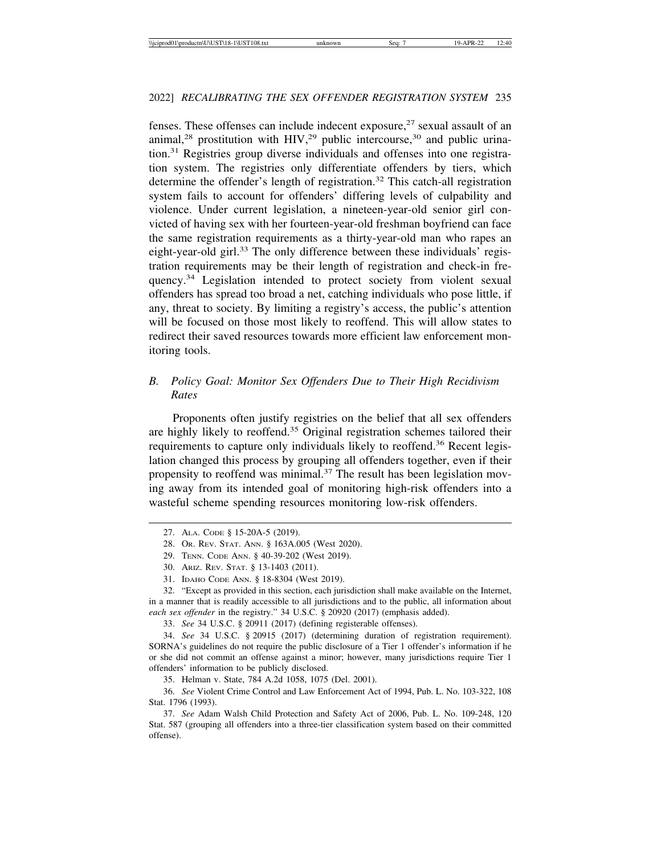fenses. These offenses can include indecent exposure, $27$  sexual assault of an animal,<sup>28</sup> prostitution with HIV,<sup>29</sup> public intercourse,<sup>30</sup> and public urination.31 Registries group diverse individuals and offenses into one registration system. The registries only differentiate offenders by tiers, which determine the offender's length of registration.<sup>32</sup> This catch-all registration system fails to account for offenders' differing levels of culpability and violence. Under current legislation, a nineteen-year-old senior girl convicted of having sex with her fourteen-year-old freshman boyfriend can face the same registration requirements as a thirty-year-old man who rapes an eight-year-old girl.<sup>33</sup> The only difference between these individuals' registration requirements may be their length of registration and check-in frequency.34 Legislation intended to protect society from violent sexual offenders has spread too broad a net, catching individuals who pose little, if any, threat to society. By limiting a registry's access, the public's attention will be focused on those most likely to reoffend. This will allow states to redirect their saved resources towards more efficient law enforcement monitoring tools.

#### *B. Policy Goal: Monitor Sex Offenders Due to Their High Recidivism Rates*

Proponents often justify registries on the belief that all sex offenders are highly likely to reoffend.35 Original registration schemes tailored their requirements to capture only individuals likely to reoffend.<sup>36</sup> Recent legislation changed this process by grouping all offenders together, even if their propensity to reoffend was minimal.<sup>37</sup> The result has been legislation moving away from its intended goal of monitoring high-risk offenders into a wasteful scheme spending resources monitoring low-risk offenders.

32. "Except as provided in this section, each jurisdiction shall make available on the Internet, in a manner that is readily accessible to all jurisdictions and to the public, all information about *each sex offender* in the registry." 34 U.S.C. § 20920 (2017) (emphasis added).

33. *See* 34 U.S.C. § 20911 (2017) (defining registerable offenses).

34. *See* 34 U.S.C. § 20915 (2017) (determining duration of registration requirement). SORNA's guidelines do not require the public disclosure of a Tier 1 offender's information if he or she did not commit an offense against a minor; however, many jurisdictions require Tier 1 offenders' information to be publicly disclosed.

35. Helman v. State, 784 A.2d 1058, 1075 (Del. 2001).

36. *See* Violent Crime Control and Law Enforcement Act of 1994, Pub. L. No. 103-322, 108 Stat. 1796 (1993).

37. *See* Adam Walsh Child Protection and Safety Act of 2006, Pub. L. No. 109-248, 120 Stat. 587 (grouping all offenders into a three-tier classification system based on their committed offense).

<sup>27.</sup> ALA. CODE § 15-20A-5 (2019).

<sup>28.</sup> OR. REV. STAT. ANN. § 163A.005 (West 2020).

<sup>29.</sup> TENN. CODE ANN. § 40-39-202 (West 2019).

<sup>30.</sup> ARIZ. REV. STAT. § 13-1403 (2011).

<sup>31.</sup> IDAHO CODE ANN. § 18-8304 (West 2019).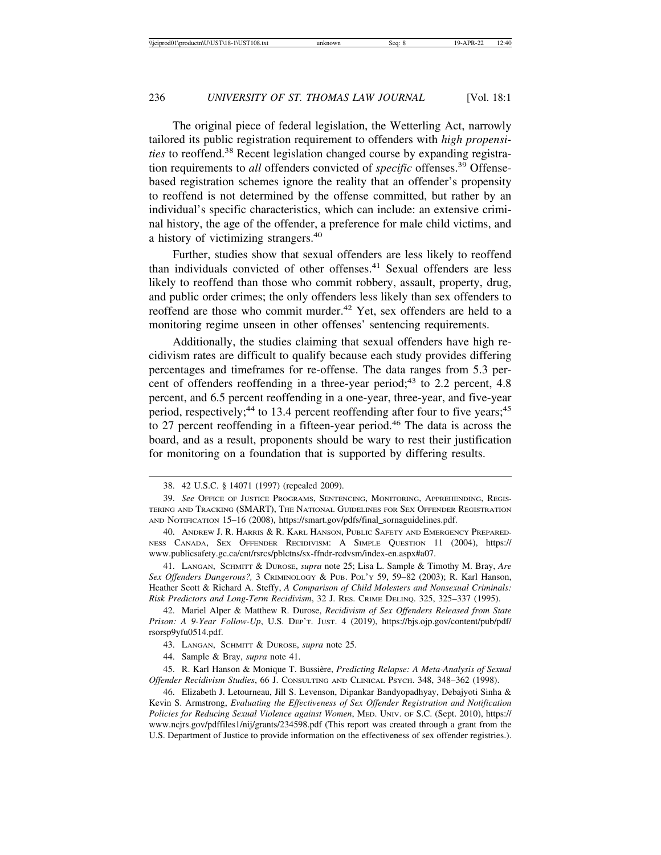The original piece of federal legislation, the Wetterling Act, narrowly tailored its public registration requirement to offenders with *high propensities* to reoffend.38 Recent legislation changed course by expanding registration requirements to *all* offenders convicted of *specific* offenses.39 Offensebased registration schemes ignore the reality that an offender's propensity to reoffend is not determined by the offense committed, but rather by an individual's specific characteristics, which can include: an extensive criminal history, the age of the offender, a preference for male child victims, and a history of victimizing strangers.<sup>40</sup>

Further, studies show that sexual offenders are less likely to reoffend than individuals convicted of other offenses.<sup>41</sup> Sexual offenders are less likely to reoffend than those who commit robbery, assault, property, drug, and public order crimes; the only offenders less likely than sex offenders to reoffend are those who commit murder.<sup>42</sup> Yet, sex offenders are held to a monitoring regime unseen in other offenses' sentencing requirements.

Additionally, the studies claiming that sexual offenders have high recidivism rates are difficult to qualify because each study provides differing percentages and timeframes for re-offense. The data ranges from 5.3 percent of offenders reoffending in a three-year period;<sup>43</sup> to 2.2 percent, 4.8 percent, and 6.5 percent reoffending in a one-year, three-year, and five-year period, respectively;<sup>44</sup> to 13.4 percent reoffending after four to five years;<sup>45</sup> to 27 percent reoffending in a fifteen-year period.<sup>46</sup> The data is across the board, and as a result, proponents should be wary to rest their justification for monitoring on a foundation that is supported by differing results.

41. LANGAN, SCHMITT & DUROSE, *supra* note 25; Lisa L. Sample & Timothy M. Bray, *Are Sex Offenders Dangerous?,* 3 CRIMINOLOGY & PUB. POL'Y 59, 59–82 (2003); R. Karl Hanson, Heather Scott & Richard A. Steffy, *A Comparison of Child Molesters and Nonsexual Criminals: Risk Predictors and Long-Term Recidivism*, 32 J. RES. CRIME DELINQ. 325, 325–337 (1995).

42. Mariel Alper & Matthew R. Durose, *Recidivism of Sex Offenders Released from State Prison: A 9-Year Follow-Up*, U.S. DEP'T. JUST. 4 (2019), https://bjs.ojp.gov/content/pub/pdf/ rsorsp9yfu0514.pdf.

43. LANGAN, SCHMITT & DUROSE, *supra* note 25.

44. Sample & Bray, *supra* note 41.

45. R. Karl Hanson & Monique T. Bussi`ere, *Predicting Relapse: A Meta-Analysis of Sexual Offender Recidivism Studies*, 66 J. CONSULTING AND CLINICAL PSYCH. 348, 348–362 (1998).

<sup>38. 42</sup> U.S.C. § 14071 (1997) (repealed 2009).

<sup>39.</sup> *See* OFFICE OF JUSTICE PROGRAMS, SENTENCING, MONITORING, APPREHENDING, REGIS-TERING AND TRACKING (SMART), THE NATIONAL GUIDELINES FOR SEX OFFENDER REGISTRATION AND NOTIFICATION 15–16 (2008), https://smart.gov/pdfs/final\_sornaguidelines.pdf.

<sup>40.</sup> ANDREW J. R. HARRIS & R. KARL HANSON, PUBLIC SAFETY AND EMERGENCY PREPARED-NESS CANADA, SEX OFFENDER RECIDIVISM: A SIMPLE QUESTION 11 (2004), https:// www.publicsafety.gc.ca/cnt/rsrcs/pblctns/sx-ffndr-rcdvsm/index-en.aspx#a07.

<sup>46.</sup> Elizabeth J. Letourneau, Jill S. Levenson, Dipankar Bandyopadhyay, Debajyoti Sinha & Kevin S. Armstrong, *Evaluating the Effectiveness of Sex Offender Registration and Notification Policies for Reducing Sexual Violence against Women*, MED. UNIV. OF S.C. (Sept. 2010), https:// www.ncjrs.gov/pdffiles1/nij/grants/234598.pdf (This report was created through a grant from the U.S. Department of Justice to provide information on the effectiveness of sex offender registries.).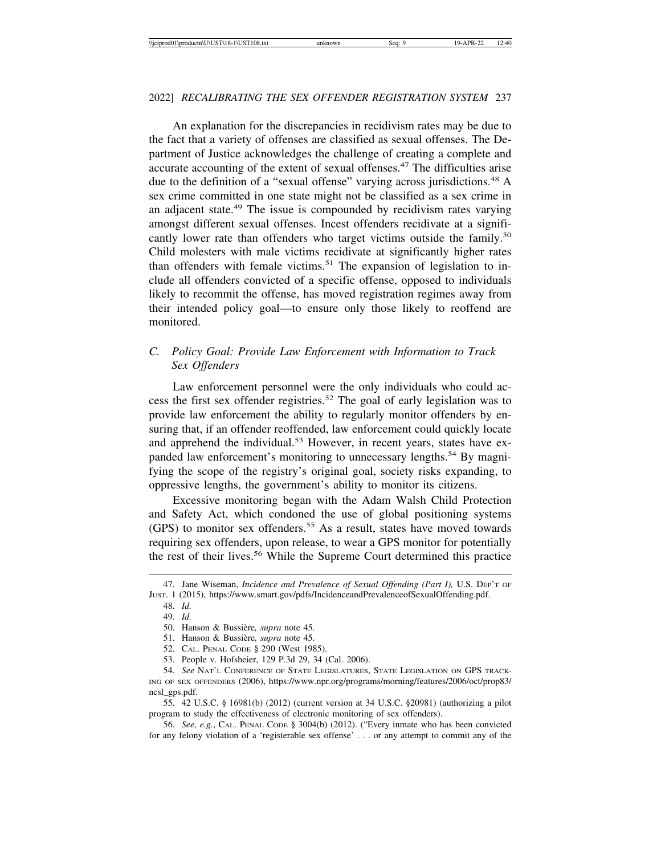An explanation for the discrepancies in recidivism rates may be due to the fact that a variety of offenses are classified as sexual offenses. The Department of Justice acknowledges the challenge of creating a complete and accurate accounting of the extent of sexual offenses.<sup>47</sup> The difficulties arise due to the definition of a "sexual offense" varying across jurisdictions.<sup>48</sup> A sex crime committed in one state might not be classified as a sex crime in an adjacent state.49 The issue is compounded by recidivism rates varying amongst different sexual offenses. Incest offenders recidivate at a significantly lower rate than offenders who target victims outside the family.<sup>50</sup> Child molesters with male victims recidivate at significantly higher rates than offenders with female victims.<sup>51</sup> The expansion of legislation to include all offenders convicted of a specific offense, opposed to individuals likely to recommit the offense, has moved registration regimes away from their intended policy goal—to ensure only those likely to reoffend are monitored.

#### *C. Policy Goal: Provide Law Enforcement with Information to Track Sex Offenders*

Law enforcement personnel were the only individuals who could access the first sex offender registries.52 The goal of early legislation was to provide law enforcement the ability to regularly monitor offenders by ensuring that, if an offender reoffended, law enforcement could quickly locate and apprehend the individual.<sup>53</sup> However, in recent years, states have expanded law enforcement's monitoring to unnecessary lengths.<sup>54</sup> By magnifying the scope of the registry's original goal, society risks expanding, to oppressive lengths, the government's ability to monitor its citizens.

Excessive monitoring began with the Adam Walsh Child Protection and Safety Act, which condoned the use of global positioning systems (GPS) to monitor sex offenders.55 As a result, states have moved towards requiring sex offenders, upon release, to wear a GPS monitor for potentially the rest of their lives.<sup>56</sup> While the Supreme Court determined this practice

55. 42 U.S.C. § 16981(b) (2012) (current version at 34 U.S.C. §20981) (authorizing a pilot program to study the effectiveness of electronic monitoring of sex offenders).

56. *See, e.g.*, CAL. PENAL CODE § 3004(b) (2012). ("Every inmate who has been convicted for any felony violation of a 'registerable sex offense' . . . or any attempt to commit any of the

<sup>47.</sup> Jane Wiseman, *Incidence and Prevalence of Sexual Offending (Part I),* U.S. DEP'T OF JUST. 1 (2015), https://www.smart.gov/pdfs/IncidenceandPrevalenceofSexualOffending.pdf.

<sup>48.</sup> *Id.*

<sup>49.</sup> *Id.*

<sup>50.</sup> Hanson & Bussière, supra note 45.

<sup>51.</sup> Hanson & Bussière, supra note 45.

<sup>52.</sup> CAL. PENAL CODE § 290 (West 1985).

<sup>53.</sup> People v. Hofsheier, 129 P.3d 29, 34 (Cal. 2006).

<sup>54.</sup> *See* NAT'L CONFERENCE OF STATE LEGISLATURES, STATE LEGISLATION ON GPS TRACK-ING OF SEX OFFENDERS (2006), https://www.npr.org/programs/morning/features/2006/oct/prop83/ ncsl\_gps.pdf.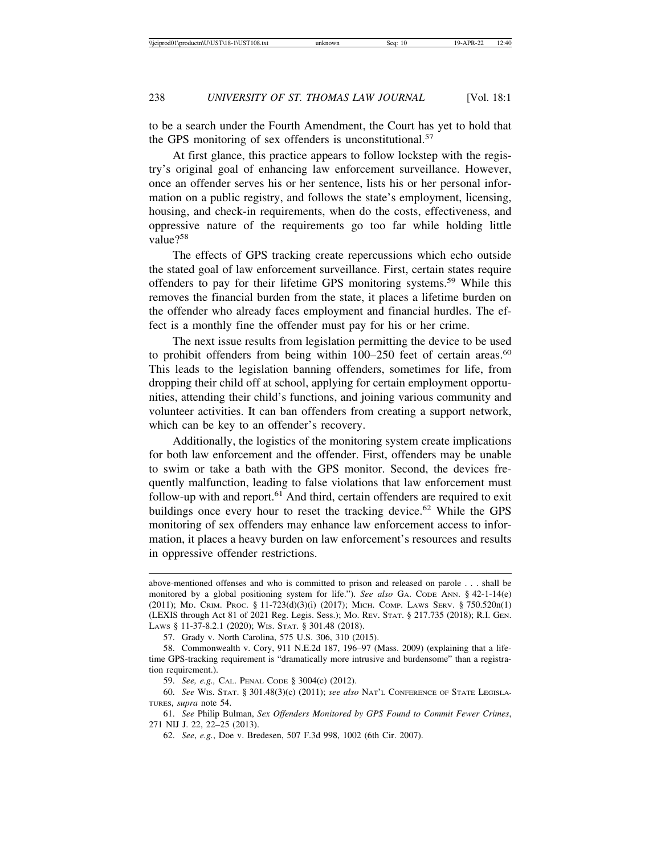to be a search under the Fourth Amendment, the Court has yet to hold that the GPS monitoring of sex offenders is unconstitutional.<sup>57</sup>

At first glance, this practice appears to follow lockstep with the registry's original goal of enhancing law enforcement surveillance. However, once an offender serves his or her sentence, lists his or her personal information on a public registry, and follows the state's employment, licensing, housing, and check-in requirements, when do the costs, effectiveness, and oppressive nature of the requirements go too far while holding little value?<sup>58</sup>

The effects of GPS tracking create repercussions which echo outside the stated goal of law enforcement surveillance. First, certain states require offenders to pay for their lifetime GPS monitoring systems.59 While this removes the financial burden from the state, it places a lifetime burden on the offender who already faces employment and financial hurdles. The effect is a monthly fine the offender must pay for his or her crime.

The next issue results from legislation permitting the device to be used to prohibit offenders from being within  $100-250$  feet of certain areas.<sup>60</sup> This leads to the legislation banning offenders, sometimes for life, from dropping their child off at school, applying for certain employment opportunities, attending their child's functions, and joining various community and volunteer activities. It can ban offenders from creating a support network, which can be key to an offender's recovery.

Additionally, the logistics of the monitoring system create implications for both law enforcement and the offender. First, offenders may be unable to swim or take a bath with the GPS monitor. Second, the devices frequently malfunction, leading to false violations that law enforcement must follow-up with and report.61 And third, certain offenders are required to exit buildings once every hour to reset the tracking device.<sup>62</sup> While the GPS monitoring of sex offenders may enhance law enforcement access to information, it places a heavy burden on law enforcement's resources and results in oppressive offender restrictions.

above-mentioned offenses and who is committed to prison and released on parole . . . shall be monitored by a global positioning system for life."). *See also* GA. CODE ANN. § 42-1-14(e) (2011); MD. CRIM. PROC. § 11-723(d)(3)(i) (2017); MICH. COMP. LAWS SERV. § 750.520n(1) (LEXIS through Act 81 of 2021 Reg. Legis. Sess.); MO. REV. STAT. § 217.735 (2018); R.I. GEN. LAWS § 11-37-8.2.1 (2020); WIS. STAT. § 301.48 (2018).

<sup>57.</sup> Grady v. North Carolina, 575 U.S. 306, 310 (2015).

<sup>58.</sup> Commonwealth v. Cory, 911 N.E.2d 187, 196–97 (Mass. 2009) (explaining that a lifetime GPS-tracking requirement is "dramatically more intrusive and burdensome" than a registration requirement.).

<sup>59.</sup> *See, e.g.,* CAL. PENAL CODE § 3004(c) (2012).

<sup>60.</sup> *See* WIS. STAT. § 301.48(3)(c) (2011); *see also* NAT'L CONFERENCE OF STATE LEGISLA-TURES, *supra* note 54.

<sup>61.</sup> *See* Philip Bulman, *Sex Offenders Monitored by GPS Found to Commit Fewer Crimes*, 271 NIJ J. 22, 22–25 (2013).

<sup>62.</sup> *See*, *e.g.*, Doe v. Bredesen, 507 F.3d 998, 1002 (6th Cir. 2007).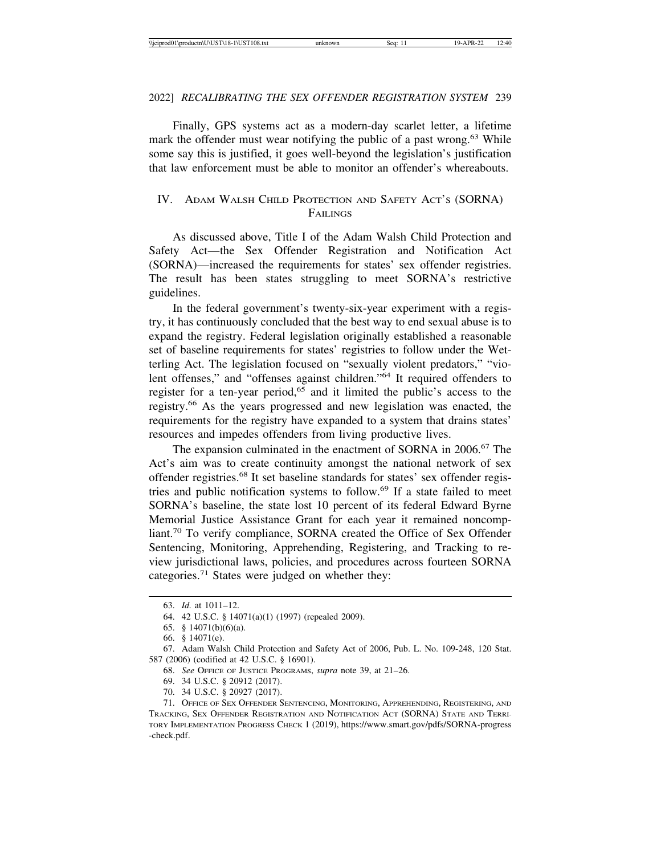Finally, GPS systems act as a modern-day scarlet letter, a lifetime mark the offender must wear notifying the public of a past wrong.<sup>63</sup> While some say this is justified, it goes well-beyond the legislation's justification that law enforcement must be able to monitor an offender's whereabouts.

#### IV. ADAM WALSH CHILD PROTECTION AND SAFETY ACT'S (SORNA) **FAILINGS**

As discussed above, Title I of the Adam Walsh Child Protection and Safety Act—the Sex Offender Registration and Notification Act (SORNA)—increased the requirements for states' sex offender registries. The result has been states struggling to meet SORNA's restrictive guidelines.

In the federal government's twenty-six-year experiment with a registry, it has continuously concluded that the best way to end sexual abuse is to expand the registry. Federal legislation originally established a reasonable set of baseline requirements for states' registries to follow under the Wetterling Act. The legislation focused on "sexually violent predators," "violent offenses," and "offenses against children."64 It required offenders to register for a ten-year period, $65$  and it limited the public's access to the registry.66 As the years progressed and new legislation was enacted, the requirements for the registry have expanded to a system that drains states' resources and impedes offenders from living productive lives.

The expansion culminated in the enactment of SORNA in 2006.<sup>67</sup> The Act's aim was to create continuity amongst the national network of sex offender registries.68 It set baseline standards for states' sex offender registries and public notification systems to follow.69 If a state failed to meet SORNA's baseline, the state lost 10 percent of its federal Edward Byrne Memorial Justice Assistance Grant for each year it remained noncompliant.70 To verify compliance, SORNA created the Office of Sex Offender Sentencing, Monitoring, Apprehending, Registering, and Tracking to review jurisdictional laws, policies, and procedures across fourteen SORNA categories.71 States were judged on whether they:

- 69. 34 U.S.C. § 20912 (2017).
- 70. 34 U.S.C. § 20927 (2017).

<sup>63.</sup> *Id.* at 1011–12.

<sup>64. 42</sup> U.S.C. § 14071(a)(1) (1997) (repealed 2009).

<sup>65. § 14071(</sup>b)(6)(a).

<sup>66. § 14071(</sup>e).

<sup>67.</sup> Adam Walsh Child Protection and Safety Act of 2006, Pub. L. No. 109-248, 120 Stat. 587 (2006) (codified at 42 U.S.C. § 16901).

<sup>68.</sup> *See* OFFICE OF JUSTICE PROGRAMS, *supra* note 39, at 21–26.

<sup>71.</sup> OFFICE OF SEX OFFENDER SENTENCING, MONITORING, APPREHENDING, REGISTERING, AND TRACKING, SEX OFFENDER REGISTRATION AND NOTIFICATION ACT (SORNA) STATE AND TERRI-TORY IMPLEMENTATION PROGRESS CHECK 1 (2019), https://www.smart.gov/pdfs/SORNA-progress -check.pdf.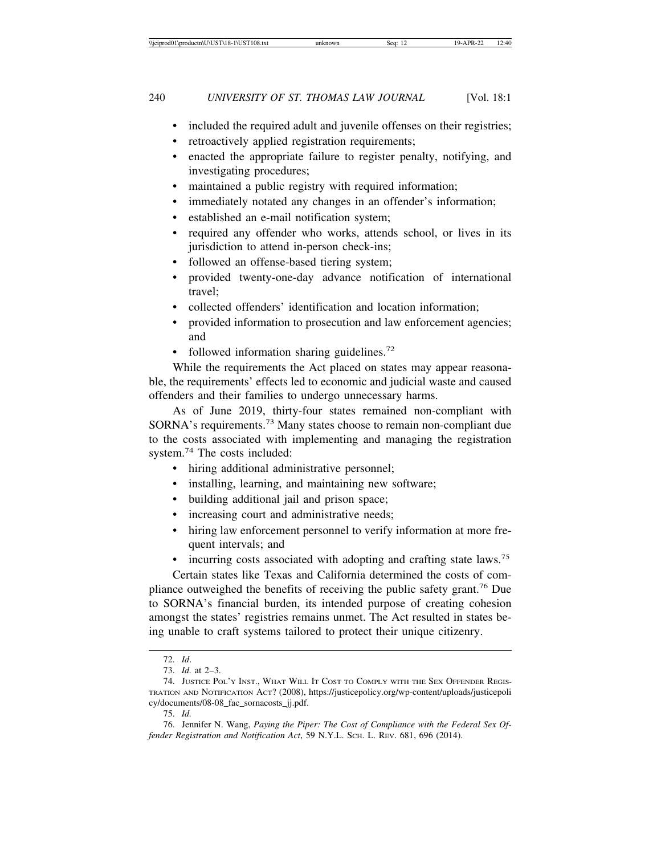- included the required adult and juvenile offenses on their registries;
- retroactively applied registration requirements;
- enacted the appropriate failure to register penalty, notifying, and investigating procedures;
- maintained a public registry with required information;
- immediately notated any changes in an offender's information;
- established an e-mail notification system;
- required any offender who works, attends school, or lives in its jurisdiction to attend in-person check-ins;
- followed an offense-based tiering system;
- provided twenty-one-day advance notification of international travel;
- collected offenders' identification and location information;
- provided information to prosecution and law enforcement agencies; and
- followed information sharing guidelines. $72$

While the requirements the Act placed on states may appear reasonable, the requirements' effects led to economic and judicial waste and caused offenders and their families to undergo unnecessary harms.

As of June 2019, thirty-four states remained non-compliant with SORNA's requirements.73 Many states choose to remain non-compliant due to the costs associated with implementing and managing the registration system.74 The costs included:

- hiring additional administrative personnel;
- installing, learning, and maintaining new software;
- building additional jail and prison space;
- increasing court and administrative needs;
- hiring law enforcement personnel to verify information at more frequent intervals; and
- incurring costs associated with adopting and crafting state laws.<sup>75</sup>

Certain states like Texas and California determined the costs of compliance outweighed the benefits of receiving the public safety grant.<sup>76</sup> Due to SORNA's financial burden, its intended purpose of creating cohesion amongst the states' registries remains unmet. The Act resulted in states being unable to craft systems tailored to protect their unique citizenry.

<sup>72.</sup> *Id*.

<sup>73.</sup> *Id.* at 2–3.

<sup>74.</sup> JUSTICE POL'Y INST., WHAT WILL IT COST TO COMPLY WITH THE SEX OFFENDER REGIS-TRATION AND NOTIFICATION ACT? (2008), https://justicepolicy.org/wp-content/uploads/justicepoli cy/documents/08-08\_fac\_sornacosts\_jj.pdf.

<sup>75.</sup> *Id.*

<sup>76.</sup> Jennifer N. Wang, *Paying the Piper: The Cost of Compliance with the Federal Sex Offender Registration and Notification Act*, 59 N.Y.L. SCH. L. REV. 681, 696 (2014).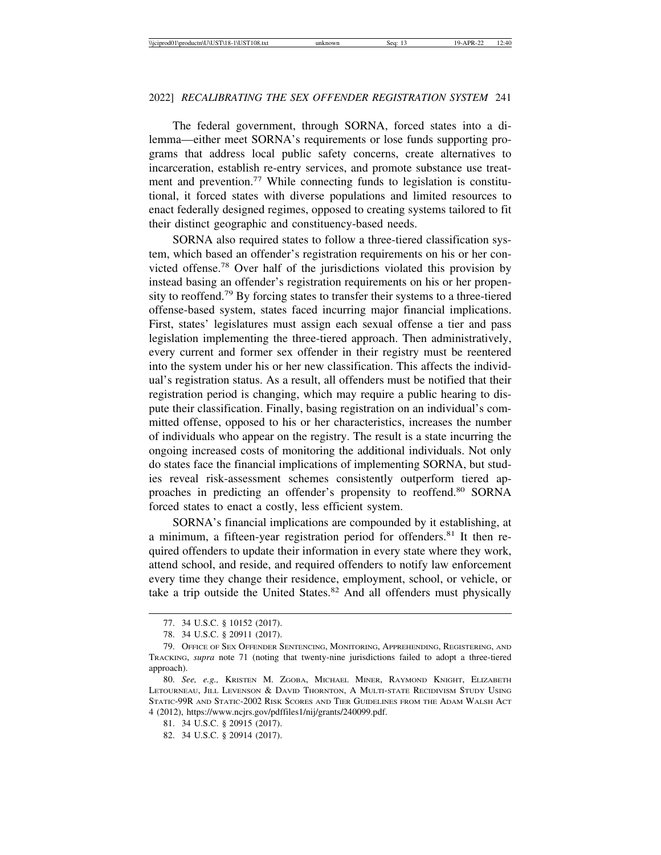The federal government, through SORNA, forced states into a dilemma—either meet SORNA's requirements or lose funds supporting programs that address local public safety concerns, create alternatives to incarceration, establish re-entry services, and promote substance use treatment and prevention.<sup>77</sup> While connecting funds to legislation is constitutional, it forced states with diverse populations and limited resources to enact federally designed regimes, opposed to creating systems tailored to fit their distinct geographic and constituency-based needs.

SORNA also required states to follow a three-tiered classification system, which based an offender's registration requirements on his or her convicted offense.78 Over half of the jurisdictions violated this provision by instead basing an offender's registration requirements on his or her propensity to reoffend.79 By forcing states to transfer their systems to a three-tiered offense-based system, states faced incurring major financial implications. First, states' legislatures must assign each sexual offense a tier and pass legislation implementing the three-tiered approach. Then administratively, every current and former sex offender in their registry must be reentered into the system under his or her new classification. This affects the individual's registration status. As a result, all offenders must be notified that their registration period is changing, which may require a public hearing to dispute their classification. Finally, basing registration on an individual's committed offense, opposed to his or her characteristics, increases the number of individuals who appear on the registry. The result is a state incurring the ongoing increased costs of monitoring the additional individuals. Not only do states face the financial implications of implementing SORNA, but studies reveal risk-assessment schemes consistently outperform tiered approaches in predicting an offender's propensity to reoffend.80 SORNA forced states to enact a costly, less efficient system.

SORNA's financial implications are compounded by it establishing, at a minimum, a fifteen-year registration period for offenders.<sup>81</sup> It then required offenders to update their information in every state where they work, attend school, and reside, and required offenders to notify law enforcement every time they change their residence, employment, school, or vehicle, or take a trip outside the United States.<sup>82</sup> And all offenders must physically

<sup>77. 34</sup> U.S.C. § 10152 (2017).

<sup>78. 34</sup> U.S.C. § 20911 (2017).

<sup>79.</sup> OFFICE OF SEX OFFENDER SENTENCING, MONITORING, APPREHENDING, REGISTERING, AND TRACKING, *supra* note 71 (noting that twenty-nine jurisdictions failed to adopt a three-tiered approach).

<sup>80.</sup> *See, e.g.,* KRISTEN M. ZGOBA, MICHAEL MINER, RAYMOND KNIGHT, ELIZABETH LETOURNEAU, JILL LEVENSON & DAVID THORNTON, A MULTI-STATE RECIDIVISM STUDY USING STATIC-99R AND STATIC-2002 RISK SCORES AND TIER GUIDELINES FROM THE ADAM WALSH ACT 4 (2012), https://www.ncjrs.gov/pdffiles1/nij/grants/240099.pdf.

<sup>81. 34</sup> U.S.C. § 20915 (2017).

<sup>82. 34</sup> U.S.C. § 20914 (2017).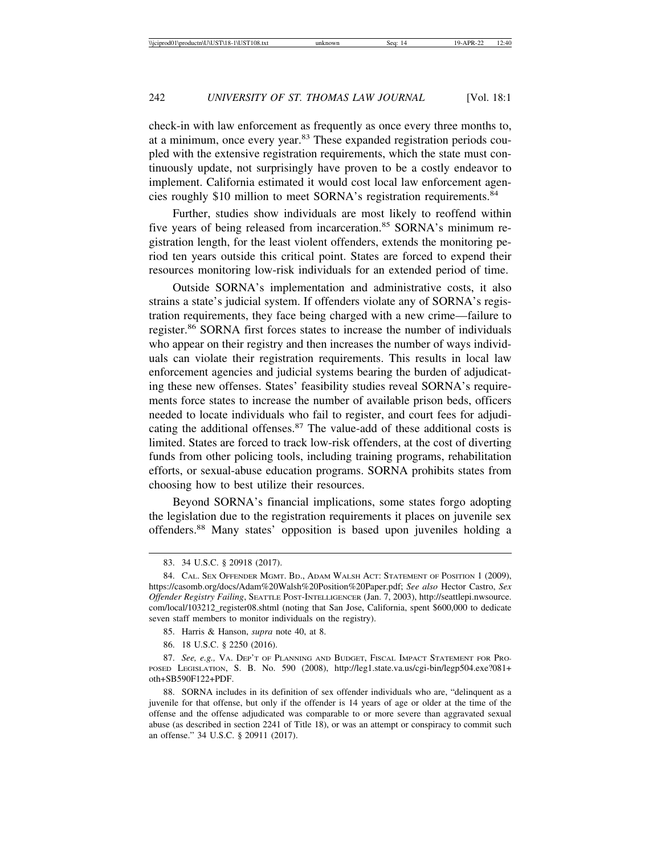check-in with law enforcement as frequently as once every three months to, at a minimum, once every year.83 These expanded registration periods coupled with the extensive registration requirements, which the state must continuously update, not surprisingly have proven to be a costly endeavor to implement. California estimated it would cost local law enforcement agencies roughly \$10 million to meet SORNA's registration requirements.<sup>84</sup>

Further, studies show individuals are most likely to reoffend within five years of being released from incarceration.<sup>85</sup> SORNA's minimum registration length, for the least violent offenders, extends the monitoring period ten years outside this critical point. States are forced to expend their resources monitoring low-risk individuals for an extended period of time.

Outside SORNA's implementation and administrative costs, it also strains a state's judicial system. If offenders violate any of SORNA's registration requirements, they face being charged with a new crime—failure to register.86 SORNA first forces states to increase the number of individuals who appear on their registry and then increases the number of ways individuals can violate their registration requirements. This results in local law enforcement agencies and judicial systems bearing the burden of adjudicating these new offenses. States' feasibility studies reveal SORNA's requirements force states to increase the number of available prison beds, officers needed to locate individuals who fail to register, and court fees for adjudicating the additional offenses.87 The value-add of these additional costs is limited. States are forced to track low-risk offenders, at the cost of diverting funds from other policing tools, including training programs, rehabilitation efforts, or sexual-abuse education programs. SORNA prohibits states from choosing how to best utilize their resources.

Beyond SORNA's financial implications, some states forgo adopting the legislation due to the registration requirements it places on juvenile sex offenders.88 Many states' opposition is based upon juveniles holding a

<sup>83. 34</sup> U.S.C. § 20918 (2017).

<sup>84.</sup> CAL. SEX OFFENDER MGMT. BD., ADAM WALSH ACT: STATEMENT OF POSITION 1 (2009), https://casomb.org/docs/Adam%20Walsh%20Position%20Paper.pdf; *See also* Hector Castro, *Sex Offender Registry Failing*, SEATTLE POST-INTELLIGENCER (Jan. 7, 2003), http://seattlepi.nwsource. com/local/103212\_register08.shtml (noting that San Jose, California, spent \$600,000 to dedicate seven staff members to monitor individuals on the registry).

<sup>85.</sup> Harris & Hanson, *supra* note 40, at 8.

<sup>86. 18</sup> U.S.C. § 2250 (2016).

<sup>87.</sup> *See, e.g.,* VA. DEP'T OF PLANNING AND BUDGET, FISCAL IMPACT STATEMENT FOR PRO-POSED LEGISLATION, S. B. No. 590 (2008), http://leg1.state.va.us/cgi-bin/legp504.exe?081+ oth+SB590F122+PDF.

<sup>88.</sup> SORNA includes in its definition of sex offender individuals who are, "delinquent as a juvenile for that offense, but only if the offender is 14 years of age or older at the time of the offense and the offense adjudicated was comparable to or more severe than aggravated sexual abuse (as described in section 2241 of Title 18), or was an attempt or conspiracy to commit such an offense." 34 U.S.C. § 20911 (2017).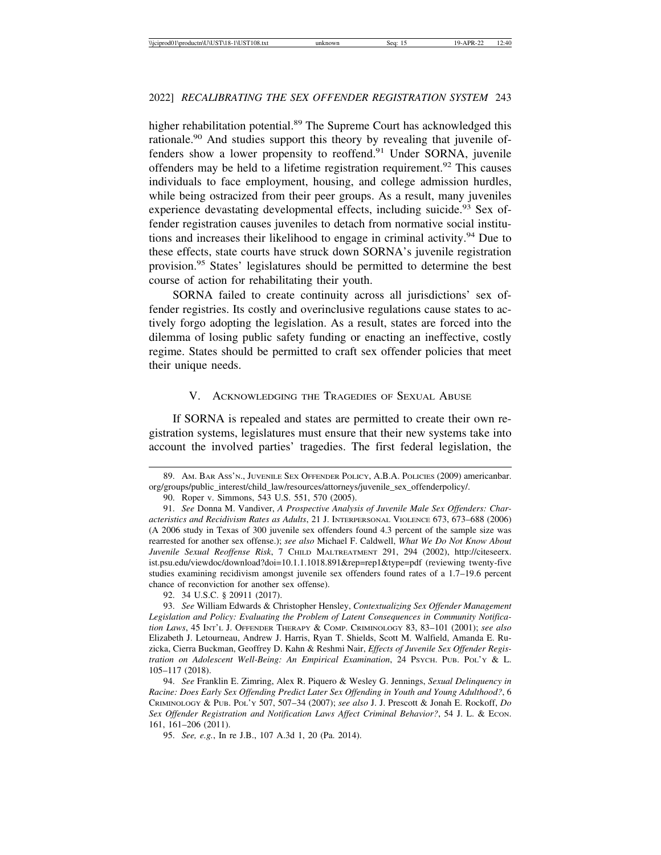higher rehabilitation potential.<sup>89</sup> The Supreme Court has acknowledged this rationale.<sup>90</sup> And studies support this theory by revealing that juvenile offenders show a lower propensity to reoffend.<sup>91</sup> Under SORNA, juvenile offenders may be held to a lifetime registration requirement.<sup>92</sup> This causes individuals to face employment, housing, and college admission hurdles, while being ostracized from their peer groups. As a result, many juveniles experience devastating developmental effects, including suicide.<sup>93</sup> Sex offender registration causes juveniles to detach from normative social institutions and increases their likelihood to engage in criminal activity.<sup>94</sup> Due to these effects, state courts have struck down SORNA's juvenile registration provision.95 States' legislatures should be permitted to determine the best course of action for rehabilitating their youth.

SORNA failed to create continuity across all jurisdictions' sex offender registries. Its costly and overinclusive regulations cause states to actively forgo adopting the legislation. As a result, states are forced into the dilemma of losing public safety funding or enacting an ineffective, costly regime. States should be permitted to craft sex offender policies that meet their unique needs.

#### V. ACKNOWLEDGING THE TRAGEDIES OF SEXUAL ABUSE

If SORNA is repealed and states are permitted to create their own registration systems, legislatures must ensure that their new systems take into account the involved parties' tragedies. The first federal legislation, the

92. 34 U.S.C. § 20911 (2017).

93. *See* William Edwards & Christopher Hensley, *Contextualizing Sex Offender Management Legislation and Policy: Evaluating the Problem of Latent Consequences in Community Notification Laws*, 45 INT'L J. OFFENDER THERAPY & COMP. CRIMINOLOGY 83, 83–101 (2001); *see also* Elizabeth J. Letourneau, Andrew J. Harris, Ryan T. Shields, Scott M. Walfield, Amanda E. Ruzicka, Cierra Buckman, Geoffrey D. Kahn & Reshmi Nair, *Effects of Juvenile Sex Offender Registration on Adolescent Well-Being: An Empirical Examination*, 24 PSYCH. PUB. POL'Y & L. 105–117 (2018).

<sup>89.</sup> AM. BAR ASS'N., JUVENILE SEX OFFENDER POLICY, A.B.A. POLICIES (2009) americanbar. org/groups/public\_interest/child\_law/resources/attorneys/juvenile\_sex\_offenderpolicy/.

<sup>90.</sup> Roper v. Simmons, 543 U.S. 551, 570 (2005).

<sup>91.</sup> *See* Donna M. Vandiver, *A Prospective Analysis of Juvenile Male Sex Offenders: Characteristics and Recidivism Rates as Adults*, 21 J. INTERPERSONAL VIOLENCE 673, 673–688 (2006) (A 2006 study in Texas of 300 juvenile sex offenders found 4.3 percent of the sample size was rearrested for another sex offense.); *see also* Michael F. Caldwell, *What We Do Not Know About Juvenile Sexual Reoffense Risk*, 7 CHILD MALTREATMENT 291, 294 (2002), http://citeseerx. ist.psu.edu/viewdoc/download?doi=10.1.1.1018.891&rep=rep1&type=pdf (reviewing twenty-five studies examining recidivism amongst juvenile sex offenders found rates of a 1.7–19.6 percent chance of reconviction for another sex offense).

<sup>94.</sup> *See* Franklin E. Zimring, Alex R. Piquero & Wesley G. Jennings, *Sexual Delinquency in Racine: Does Early Sex Offending Predict Later Sex Offending in Youth and Young Adulthood?*, 6 CRIMINOLOGY & PUB. POL'Y 507, 507–34 (2007); *see also* J. J. Prescott & Jonah E. Rockoff, *Do Sex Offender Registration and Notification Laws Affect Criminal Behavior?*, 54 J. L. & ECON. 161, 161–206 (2011).

<sup>95.</sup> *See, e.g.*, In re J.B., 107 A.3d 1, 20 (Pa. 2014).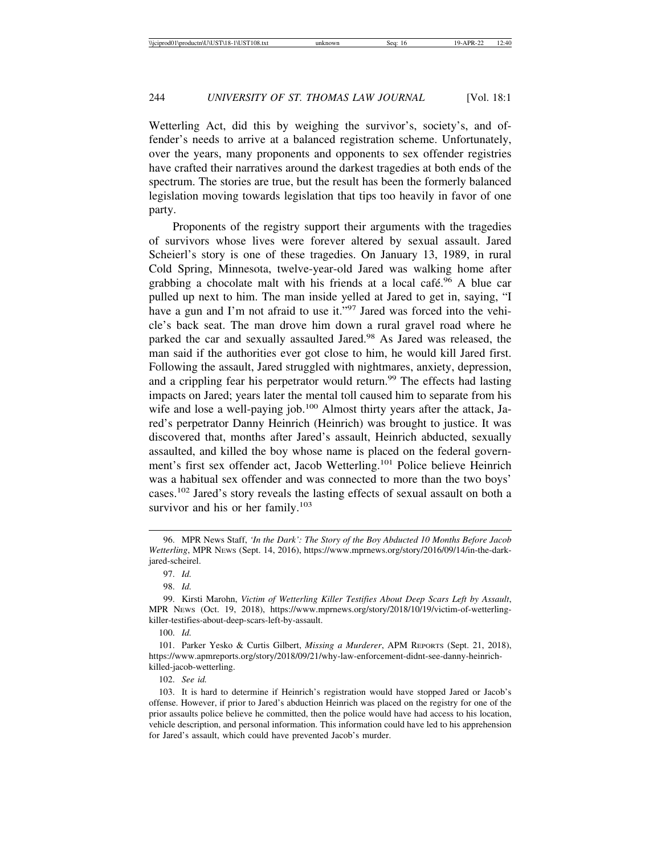Wetterling Act, did this by weighing the survivor's, society's, and offender's needs to arrive at a balanced registration scheme. Unfortunately, over the years, many proponents and opponents to sex offender registries have crafted their narratives around the darkest tragedies at both ends of the spectrum. The stories are true, but the result has been the formerly balanced legislation moving towards legislation that tips too heavily in favor of one party.

Proponents of the registry support their arguments with the tragedies of survivors whose lives were forever altered by sexual assault. Jared Scheierl's story is one of these tragedies. On January 13, 1989, in rural Cold Spring, Minnesota, twelve-year-old Jared was walking home after grabbing a chocolate malt with his friends at a local café.<sup>96</sup> A blue car pulled up next to him. The man inside yelled at Jared to get in, saying, "I have a gun and I'm not afraid to use it."<sup>97</sup> Jared was forced into the vehicle's back seat. The man drove him down a rural gravel road where he parked the car and sexually assaulted Jared.<sup>98</sup> As Jared was released, the man said if the authorities ever got close to him, he would kill Jared first. Following the assault, Jared struggled with nightmares, anxiety, depression, and a crippling fear his perpetrator would return.<sup>99</sup> The effects had lasting impacts on Jared; years later the mental toll caused him to separate from his wife and lose a well-paying job.<sup>100</sup> Almost thirty years after the attack, Jared's perpetrator Danny Heinrich (Heinrich) was brought to justice. It was discovered that, months after Jared's assault, Heinrich abducted, sexually assaulted, and killed the boy whose name is placed on the federal government's first sex offender act, Jacob Wetterling.101 Police believe Heinrich was a habitual sex offender and was connected to more than the two boys' cases.102 Jared's story reveals the lasting effects of sexual assault on both a survivor and his or her family.<sup>103</sup>

98. *Id.*

99. Kirsti Marohn, *Victim of Wetterling Killer Testifies About Deep Scars Left by Assault*, MPR NEWS (Oct. 19, 2018), https://www.mprnews.org/story/2018/10/19/victim-of-wetterlingkiller-testifies-about-deep-scars-left-by-assault.

100. *Id.*

101. Parker Yesko & Curtis Gilbert, *Missing a Murderer*, APM REPORTS (Sept. 21, 2018), https://www.apmreports.org/story/2018/09/21/why-law-enforcement-didnt-see-danny-heinrichkilled-jacob-wetterling.

102. *See id.*

103. It is hard to determine if Heinrich's registration would have stopped Jared or Jacob's offense. However, if prior to Jared's abduction Heinrich was placed on the registry for one of the prior assaults police believe he committed, then the police would have had access to his location, vehicle description, and personal information. This information could have led to his apprehension for Jared's assault, which could have prevented Jacob's murder.

<sup>96.</sup> MPR News Staff, *'In the Dark': The Story of the Boy Abducted 10 Months Before Jacob Wetterling*, MPR NEWS (Sept. 14, 2016), https://www.mprnews.org/story/2016/09/14/in-the-darkjared-scheirel.

<sup>97.</sup> *Id.*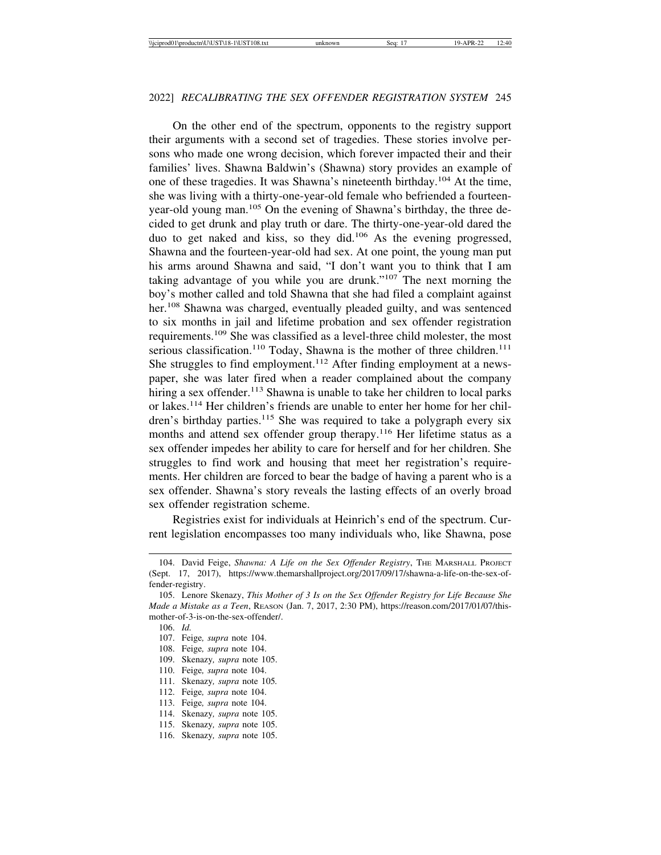On the other end of the spectrum, opponents to the registry support their arguments with a second set of tragedies. These stories involve persons who made one wrong decision, which forever impacted their and their families' lives. Shawna Baldwin's (Shawna) story provides an example of one of these tragedies. It was Shawna's nineteenth birthday.104 At the time, she was living with a thirty-one-year-old female who befriended a fourteenyear-old young man.105 On the evening of Shawna's birthday, the three decided to get drunk and play truth or dare. The thirty-one-year-old dared the duo to get naked and kiss, so they did.106 As the evening progressed, Shawna and the fourteen-year-old had sex. At one point, the young man put his arms around Shawna and said, "I don't want you to think that I am taking advantage of you while you are drunk."107 The next morning the boy's mother called and told Shawna that she had filed a complaint against her.<sup>108</sup> Shawna was charged, eventually pleaded guilty, and was sentenced to six months in jail and lifetime probation and sex offender registration requirements.109 She was classified as a level-three child molester, the most serious classification.<sup>110</sup> Today, Shawna is the mother of three children.<sup>111</sup> She struggles to find employment.<sup>112</sup> After finding employment at a newspaper, she was later fired when a reader complained about the company hiring a sex offender.<sup>113</sup> Shawna is unable to take her children to local parks or lakes.114 Her children's friends are unable to enter her home for her children's birthday parties.<sup>115</sup> She was required to take a polygraph every six months and attend sex offender group therapy.116 Her lifetime status as a sex offender impedes her ability to care for herself and for her children. She struggles to find work and housing that meet her registration's requirements. Her children are forced to bear the badge of having a parent who is a sex offender. Shawna's story reveals the lasting effects of an overly broad sex offender registration scheme.

Registries exist for individuals at Heinrich's end of the spectrum. Current legislation encompasses too many individuals who, like Shawna, pose

- 108. Feige*, supra* note 104.
- 109. Skenazy*, supra* note 105.
- 110. Feige*, supra* note 104.
- 111. Skenazy*, supra* note 105*.*
- 112. Feige*, supra* note 104.
- 113. Feige*, supra* note 104.
- 114. Skenazy*, supra* note 105.
- 115. Skenazy*, supra* note 105.
- 116. Skenazy*, supra* note 105.

<sup>104.</sup> David Feige, *Shawna: A Life on the Sex Offender Registry*, THE MARSHALL PROJECT (Sept. 17, 2017), https://www.themarshallproject.org/2017/09/17/shawna-a-life-on-the-sex-offender-registry.

<sup>105.</sup> Lenore Skenazy, *This Mother of 3 Is on the Sex Offender Registry for Life Because She Made a Mistake as a Teen*, REASON (Jan. 7, 2017, 2:30 PM), https://reason.com/2017/01/07/thismother-of-3-is-on-the-sex-offender/.

<sup>106.</sup> *Id.*

<sup>107.</sup> Feige*, supra* note 104.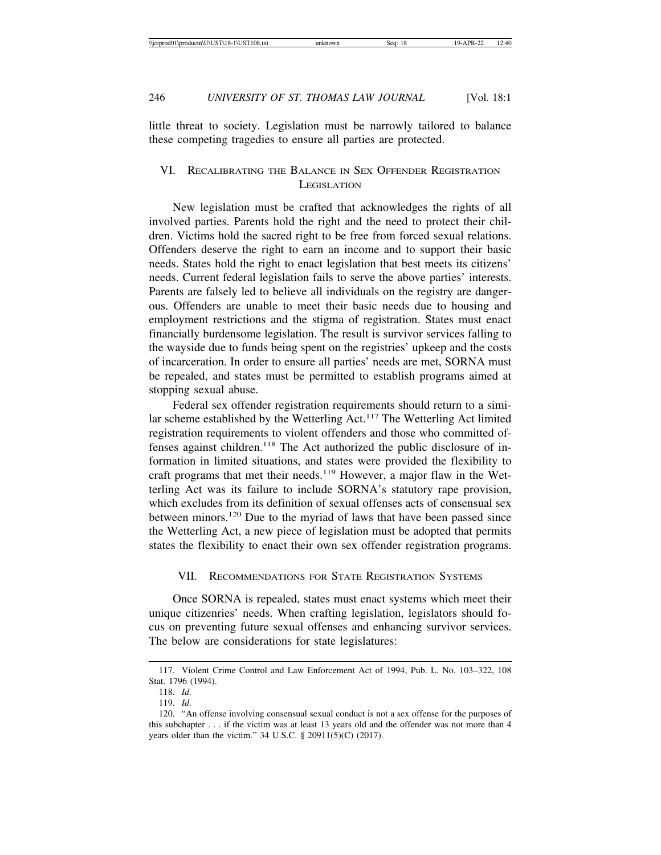little threat to society. Legislation must be narrowly tailored to balance these competing tragedies to ensure all parties are protected.

#### VI. RECALIBRATING THE BALANCE IN SEX OFFENDER REGISTRATION LEGISLATION

New legislation must be crafted that acknowledges the rights of all involved parties. Parents hold the right and the need to protect their children. Victims hold the sacred right to be free from forced sexual relations. Offenders deserve the right to earn an income and to support their basic needs. States hold the right to enact legislation that best meets its citizens' needs. Current federal legislation fails to serve the above parties' interests. Parents are falsely led to believe all individuals on the registry are dangerous. Offenders are unable to meet their basic needs due to housing and employment restrictions and the stigma of registration. States must enact financially burdensome legislation. The result is survivor services falling to the wayside due to funds being spent on the registries' upkeep and the costs of incarceration. In order to ensure all parties' needs are met, SORNA must be repealed, and states must be permitted to establish programs aimed at stopping sexual abuse.

Federal sex offender registration requirements should return to a similar scheme established by the Wetterling Act.<sup>117</sup> The Wetterling Act limited registration requirements to violent offenders and those who committed offenses against children.<sup>118</sup> The Act authorized the public disclosure of information in limited situations, and states were provided the flexibility to craft programs that met their needs.<sup>119</sup> However, a major flaw in the Wetterling Act was its failure to include SORNA's statutory rape provision, which excludes from its definition of sexual offenses acts of consensual sex between minors.120 Due to the myriad of laws that have been passed since the Wetterling Act, a new piece of legislation must be adopted that permits states the flexibility to enact their own sex offender registration programs.

#### VII. RECOMMENDATIONS FOR STATE REGISTRATION SYSTEMS

Once SORNA is repealed, states must enact systems which meet their unique citizenries' needs. When crafting legislation, legislators should focus on preventing future sexual offenses and enhancing survivor services. The below are considerations for state legislatures:

<sup>117.</sup> Violent Crime Control and Law Enforcement Act of 1994, Pub. L. No. 103–322, 108 Stat. 1796 (1994).

<sup>118.</sup> *Id.*

<sup>119.</sup> *Id.*

<sup>120. &</sup>quot;An offense involving consensual sexual conduct is not a sex offense for the purposes of this subchapter . . . if the victim was at least 13 years old and the offender was not more than 4 years older than the victim." 34 U.S.C. § 20911(5)(C) (2017).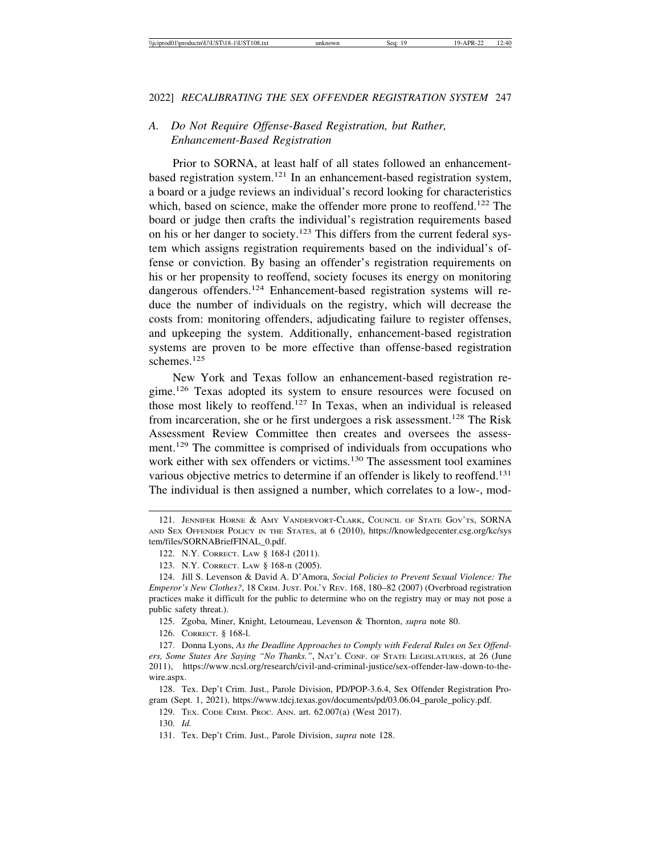#### *A. Do Not Require Offense-Based Registration, but Rather, Enhancement-Based Registration*

Prior to SORNA, at least half of all states followed an enhancementbased registration system.121 In an enhancement-based registration system, a board or a judge reviews an individual's record looking for characteristics which, based on science, make the offender more prone to reoffend.<sup>122</sup> The board or judge then crafts the individual's registration requirements based on his or her danger to society.123 This differs from the current federal system which assigns registration requirements based on the individual's offense or conviction. By basing an offender's registration requirements on his or her propensity to reoffend, society focuses its energy on monitoring dangerous offenders.124 Enhancement-based registration systems will reduce the number of individuals on the registry, which will decrease the costs from: monitoring offenders, adjudicating failure to register offenses, and upkeeping the system. Additionally, enhancement-based registration systems are proven to be more effective than offense-based registration schemes.<sup>125</sup>

New York and Texas follow an enhancement-based registration regime.126 Texas adopted its system to ensure resources were focused on those most likely to reoffend.127 In Texas, when an individual is released from incarceration, she or he first undergoes a risk assessment.128 The Risk Assessment Review Committee then creates and oversees the assessment.129 The committee is comprised of individuals from occupations who work either with sex offenders or victims.<sup>130</sup> The assessment tool examines various objective metrics to determine if an offender is likely to reoffend.<sup>131</sup> The individual is then assigned a number, which correlates to a low-, mod-

125. Zgoba, Miner, Knight, Letourneau, Levenson & Thornton, *supra* note 80.

126. CORRECT. § 168-l.

127. Donna Lyons, *As the Deadline Approaches to Comply with Federal Rules on Sex Offenders, Some States Are Saying "No Thanks."*, NAT'L CONF. OF STATE LEGISLATURES, at 26 (June 2011), https://www.ncsl.org/research/civil-and-criminal-justice/sex-offender-law-down-to-thewire.aspx.

128. Tex. Dep't Crim. Just., Parole Division, PD/POP-3.6.4, Sex Offender Registration Program (Sept. 1, 2021), https://www.tdcj.texas.gov/documents/pd/03.06.04\_parole\_policy.pdf.

129. TEX. CODE CRIM. PROC. ANN. art. 62.007(a) (West 2017).

130. *Id.*

131. Tex. Dep't Crim. Just., Parole Division, *supra* note 128.

<sup>121.</sup> JENNIFER HORNE & AMY VANDERVORT-CLARK, COUNCIL OF STATE GOV'TS, SORNA AND SEX OFFENDER POLICY IN THE STATES, at 6 (2010), https://knowledgecenter.csg.org/kc/sys tem/files/SORNABriefFINAL\_0.pdf.

<sup>122.</sup> N.Y. CORRECT. LAW § 168-l (2011).

<sup>123.</sup> N.Y. CORRECT. LAW § 168-n (2005).

<sup>124.</sup> Jill S. Levenson & David A. D'Amora, *Social Policies to Prevent Sexual Violence: The Emperor's New Clothes?*, 18 CRIM. JUST. POL'Y REV. 168, 180–82 (2007) (Overbroad registration practices make it difficult for the public to determine who on the registry may or may not pose a public safety threat.).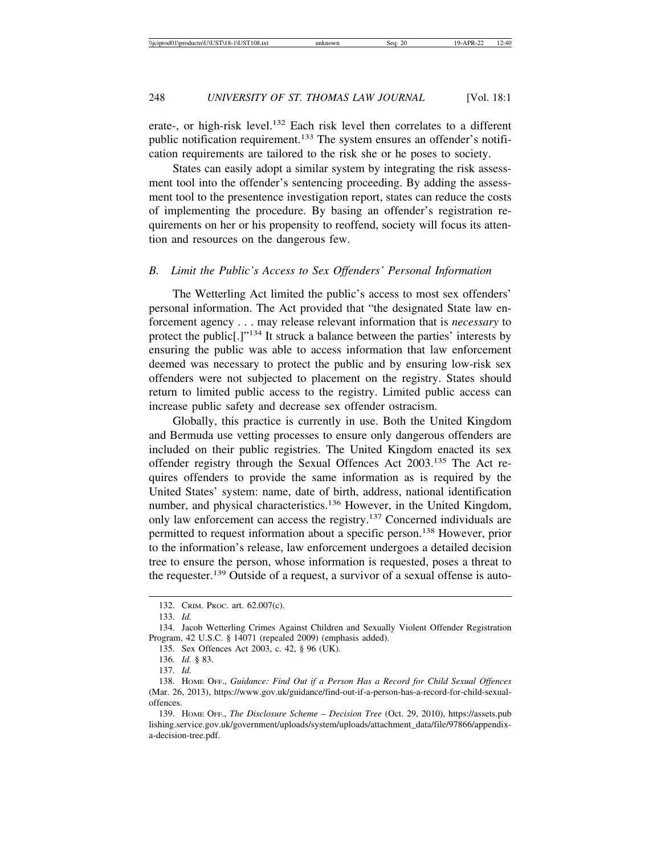erate-, or high-risk level.<sup>132</sup> Each risk level then correlates to a different public notification requirement.<sup>133</sup> The system ensures an offender's notification requirements are tailored to the risk she or he poses to society.

States can easily adopt a similar system by integrating the risk assessment tool into the offender's sentencing proceeding. By adding the assessment tool to the presentence investigation report, states can reduce the costs of implementing the procedure. By basing an offender's registration requirements on her or his propensity to reoffend, society will focus its attention and resources on the dangerous few.

#### *B. Limit the Public's Access to Sex Offenders' Personal Information*

The Wetterling Act limited the public's access to most sex offenders' personal information. The Act provided that "the designated State law enforcement agency . . . may release relevant information that is *necessary* to protect the public<sup>[.]"134</sup> It struck a balance between the parties' interests by ensuring the public was able to access information that law enforcement deemed was necessary to protect the public and by ensuring low-risk sex offenders were not subjected to placement on the registry. States should return to limited public access to the registry. Limited public access can increase public safety and decrease sex offender ostracism.

Globally, this practice is currently in use. Both the United Kingdom and Bermuda use vetting processes to ensure only dangerous offenders are included on their public registries. The United Kingdom enacted its sex offender registry through the Sexual Offences Act 2003.135 The Act requires offenders to provide the same information as is required by the United States' system: name, date of birth, address, national identification number, and physical characteristics.<sup>136</sup> However, in the United Kingdom, only law enforcement can access the registry.137 Concerned individuals are permitted to request information about a specific person.138 However, prior to the information's release, law enforcement undergoes a detailed decision tree to ensure the person, whose information is requested, poses a threat to the requester.<sup>139</sup> Outside of a request, a survivor of a sexual offense is auto-

<sup>132.</sup> CRIM. PROC. art. 62.007(c).

<sup>133.</sup> *Id.*

<sup>134.</sup> Jacob Wetterling Crimes Against Children and Sexually Violent Offender Registration Program, 42 U.S.C. § 14071 (repealed 2009) (emphasis added).

<sup>135.</sup> Sex Offences Act 2003, c. 42, § 96 (UK).

<sup>136.</sup> *Id.* § 83.

<sup>137.</sup> *Id.*

<sup>138.</sup> HOME OFF., *Guidance: Find Out if a Person Has a Record for Child Sexual Offences* (Mar. 26, 2013), https://www.gov.uk/guidance/find-out-if-a-person-has-a-record-for-child-sexualoffences.

<sup>139.</sup> HOME OFF., *The Disclosure Scheme – Decision Tree* (Oct. 29, 2010), https://assets.pub lishing.service.gov.uk/government/uploads/system/uploads/attachment\_data/file/97866/appendixa-decision-tree.pdf.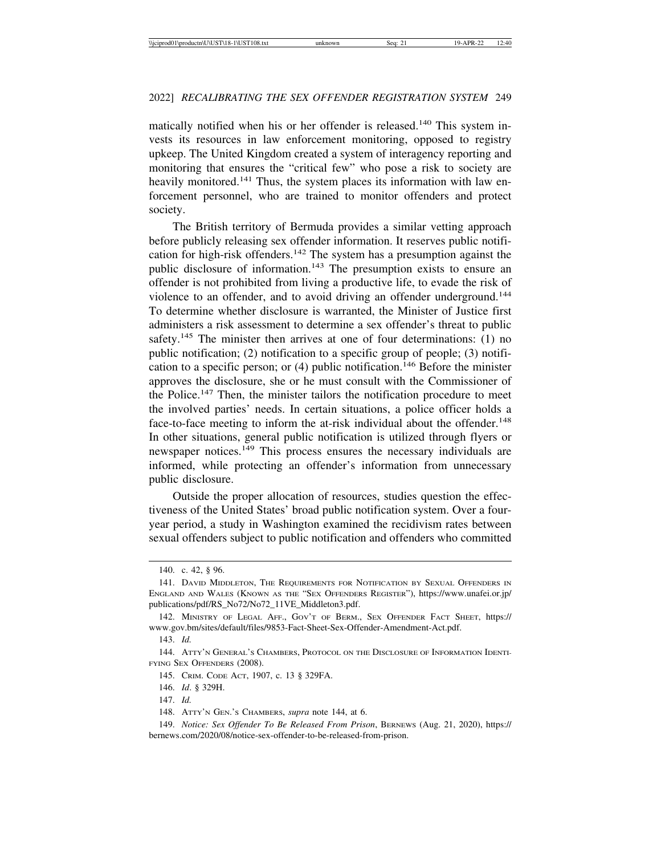matically notified when his or her offender is released.<sup>140</sup> This system invests its resources in law enforcement monitoring, opposed to registry upkeep. The United Kingdom created a system of interagency reporting and monitoring that ensures the "critical few" who pose a risk to society are heavily monitored.<sup>141</sup> Thus, the system places its information with law enforcement personnel, who are trained to monitor offenders and protect society.

The British territory of Bermuda provides a similar vetting approach before publicly releasing sex offender information. It reserves public notification for high-risk offenders.142 The system has a presumption against the public disclosure of information.<sup>143</sup> The presumption exists to ensure an offender is not prohibited from living a productive life, to evade the risk of violence to an offender, and to avoid driving an offender underground.<sup>144</sup> To determine whether disclosure is warranted, the Minister of Justice first administers a risk assessment to determine a sex offender's threat to public safety.<sup>145</sup> The minister then arrives at one of four determinations: (1) no public notification; (2) notification to a specific group of people; (3) notification to a specific person; or  $(4)$  public notification.<sup>146</sup> Before the minister approves the disclosure, she or he must consult with the Commissioner of the Police.<sup>147</sup> Then, the minister tailors the notification procedure to meet the involved parties' needs. In certain situations, a police officer holds a face-to-face meeting to inform the at-risk individual about the offender.<sup>148</sup> In other situations, general public notification is utilized through flyers or newspaper notices.149 This process ensures the necessary individuals are informed, while protecting an offender's information from unnecessary public disclosure.

Outside the proper allocation of resources, studies question the effectiveness of the United States' broad public notification system. Over a fouryear period, a study in Washington examined the recidivism rates between sexual offenders subject to public notification and offenders who committed

<sup>140.</sup> c. 42, § 96.

<sup>141.</sup> DAVID MIDDLETON, THE REQUIREMENTS FOR NOTIFICATION BY SEXUAL OFFENDERS IN ENGLAND AND WALES (KNOWN AS THE "SEX OFFENDERS REGISTER"), https://www.unafei.or.jp/ publications/pdf/RS\_No72/No72\_11VE\_Middleton3.pdf.

<sup>142.</sup> MINISTRY OF LEGAL AFF., GOV'T OF BERM., SEX OFFENDER FACT SHEET, https:// www.gov.bm/sites/default/files/9853-Fact-Sheet-Sex-Offender-Amendment-Act.pdf.

<sup>143.</sup> *Id.*

<sup>144.</sup> ATTY'N GENERAL'S CHAMBERS, PROTOCOL ON THE DISCLOSURE OF INFORMATION IDENTI-FYING SEX OFFENDERS (2008).

<sup>145.</sup> CRIM. CODE ACT, 1907, c. 13 § 329FA.

<sup>146.</sup> *Id*. § 329H.

<sup>147.</sup> *Id.*

<sup>148.</sup> ATTY'N GEN.'S CHAMBERS, *supra* note 144, at 6.

<sup>149.</sup> *Notice: Sex Offender To Be Released From Prison*, BERNEWS (Aug. 21, 2020), https:// bernews.com/2020/08/notice-sex-offender-to-be-released-from-prison.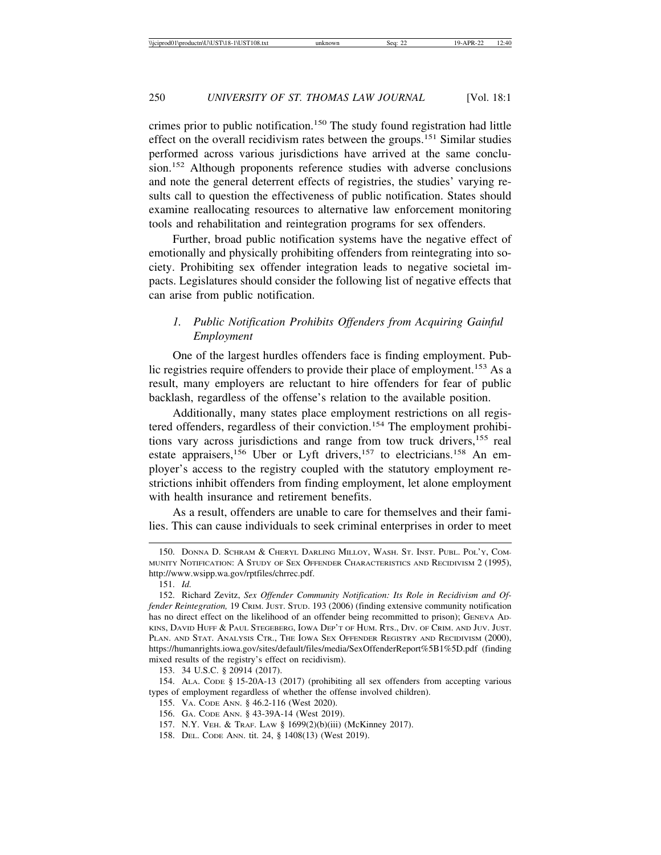crimes prior to public notification.<sup>150</sup> The study found registration had little effect on the overall recidivism rates between the groups.151 Similar studies performed across various jurisdictions have arrived at the same conclusion.152 Although proponents reference studies with adverse conclusions and note the general deterrent effects of registries, the studies' varying results call to question the effectiveness of public notification. States should examine reallocating resources to alternative law enforcement monitoring tools and rehabilitation and reintegration programs for sex offenders.

Further, broad public notification systems have the negative effect of emotionally and physically prohibiting offenders from reintegrating into society. Prohibiting sex offender integration leads to negative societal impacts. Legislatures should consider the following list of negative effects that can arise from public notification.

#### *1. Public Notification Prohibits Offenders from Acquiring Gainful Employment*

One of the largest hurdles offenders face is finding employment. Public registries require offenders to provide their place of employment.<sup>153</sup> As a result, many employers are reluctant to hire offenders for fear of public backlash, regardless of the offense's relation to the available position.

Additionally, many states place employment restrictions on all registered offenders, regardless of their conviction.<sup>154</sup> The employment prohibitions vary across jurisdictions and range from tow truck drivers,<sup>155</sup> real estate appraisers,<sup>156</sup> Uber or Lyft drivers,<sup>157</sup> to electricians.<sup>158</sup> An employer's access to the registry coupled with the statutory employment restrictions inhibit offenders from finding employment, let alone employment with health insurance and retirement benefits.

As a result, offenders are unable to care for themselves and their families. This can cause individuals to seek criminal enterprises in order to meet

- 157. N.Y. VEH. & TRAF. LAW § 1699(2)(b)(iii) (McKinney 2017).
- 158. DEL. CODE ANN. tit. 24, § 1408(13) (West 2019).

<sup>150.</sup> DONNA D. SCHRAM & CHERYL DARLING MILLOY, WASH. ST. INST. PUBL. POL'Y, COM-MUNITY NOTIFICATION: A STUDY OF SEX OFFENDER CHARACTERISTICS AND RECIDIVISM 2 (1995), http://www.wsipp.wa.gov/rptfiles/chrrec.pdf.

<sup>151.</sup> *Id.*

<sup>152.</sup> Richard Zevitz, *Sex Offender Community Notification: Its Role in Recidivism and Offender Reintegration,* 19 CRIM. JUST. STUD. 193 (2006) (finding extensive community notification has no direct effect on the likelihood of an offender being recommitted to prison); GENEVA AD-KINS, DAVID HUFF & PAUL STEGEBERG, IOWA DEP'T OF HUM. RTS., DIV. OF CRIM. AND JUV. JUST. PLAN. AND STAT. ANALYSIS CTR., THE IOWA SEX OFFENDER REGISTRY AND RECIDIVISM (2000), https://humanrights.iowa.gov/sites/default/files/media/SexOffenderReport%5B1%5D.pdf (finding mixed results of the registry's effect on recidivism).

<sup>153. 34</sup> U.S.C. § 20914 (2017).

<sup>154.</sup> ALA. CODE § 15-20A-13 (2017) (prohibiting all sex offenders from accepting various types of employment regardless of whether the offense involved children).

<sup>155.</sup> VA. CODE ANN. § 46.2-116 (West 2020).

<sup>156.</sup> GA. CODE ANN. § 43-39A-14 (West 2019).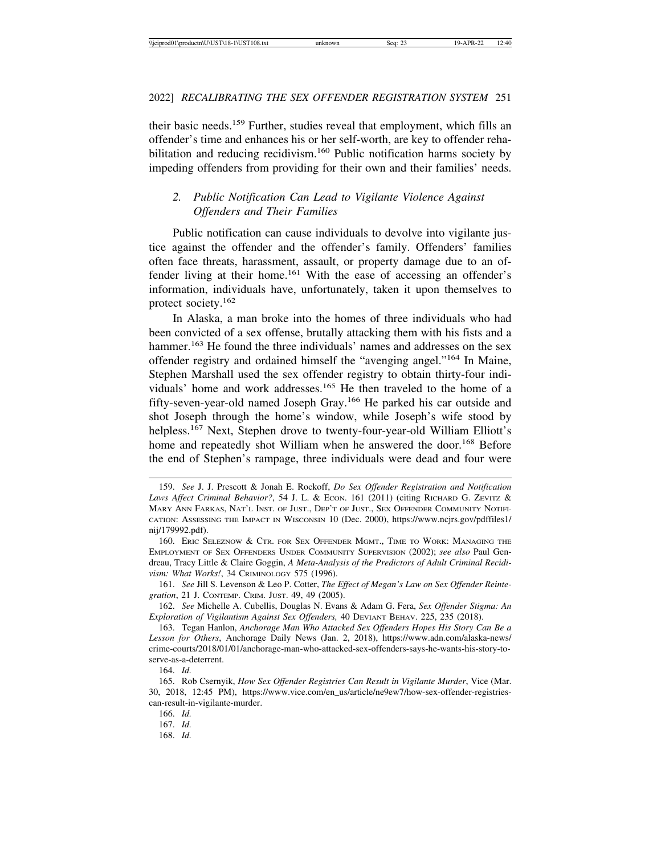their basic needs.159 Further, studies reveal that employment, which fills an offender's time and enhances his or her self-worth, are key to offender rehabilitation and reducing recidivism.<sup>160</sup> Public notification harms society by impeding offenders from providing for their own and their families' needs.

#### *2. Public Notification Can Lead to Vigilante Violence Against Offenders and Their Families*

Public notification can cause individuals to devolve into vigilante justice against the offender and the offender's family. Offenders' families often face threats, harassment, assault, or property damage due to an offender living at their home.<sup>161</sup> With the ease of accessing an offender's information, individuals have, unfortunately, taken it upon themselves to protect society.<sup>162</sup>

In Alaska, a man broke into the homes of three individuals who had been convicted of a sex offense, brutally attacking them with his fists and a hammer.<sup>163</sup> He found the three individuals' names and addresses on the sex offender registry and ordained himself the "avenging angel."164 In Maine, Stephen Marshall used the sex offender registry to obtain thirty-four individuals' home and work addresses.<sup>165</sup> He then traveled to the home of a fifty-seven-year-old named Joseph Gray.166 He parked his car outside and shot Joseph through the home's window, while Joseph's wife stood by helpless.<sup>167</sup> Next, Stephen drove to twenty-four-year-old William Elliott's home and repeatedly shot William when he answered the door.<sup>168</sup> Before the end of Stephen's rampage, three individuals were dead and four were

<sup>159.</sup> *See* J. J. Prescott & Jonah E. Rockoff, *Do Sex Offender Registration and Notification* Laws Affect Criminal Behavior?, 54 J. L. & ECON. 161 (2011) (citing RICHARD G. ZEVITZ & MARY ANN FARKAS, NAT'L INST. OF JUST., DEP'T OF JUST., SEX OFFENDER COMMUNITY NOTIFI-CATION: ASSESSING THE IMPACT IN WISCONSIN 10 (Dec. 2000), https://www.ncjrs.gov/pdffiles1/ nij/179992.pdf).

<sup>160.</sup> ERIC SELEZNOW & CTR. FOR SEX OFFENDER MGMT., TIME TO WORK: MANAGING THE EMPLOYMENT OF SEX OFFENDERS UNDER COMMUNITY SUPERVISION (2002); *see also* Paul Gendreau, Tracy Little & Claire Goggin, *A Meta-Analysis of the Predictors of Adult Criminal Recidivism: What Works!*, 34 CRIMINOLOGY 575 (1996).

<sup>161.</sup> *See* Jill S. Levenson & Leo P. Cotter, *The Effect of Megan's Law on Sex Offender Reintegration*, 21 J. CONTEMP. CRIM. JUST. 49, 49 (2005).

<sup>162.</sup> *See* Michelle A. Cubellis, Douglas N. Evans & Adam G. Fera, *Sex Offender Stigma: An Exploration of Vigilantism Against Sex Offenders,* 40 DEVIANT BEHAV. 225, 235 (2018).

<sup>163.</sup> Tegan Hanlon, *Anchorage Man Who Attacked Sex Offenders Hopes His Story Can Be a Lesson for Others*, Anchorage Daily News (Jan. 2, 2018), https://www.adn.com/alaska-news/ crime-courts/2018/01/01/anchorage-man-who-attacked-sex-offenders-says-he-wants-his-story-toserve-as-a-deterrent.

<sup>164.</sup> *Id.*

<sup>165.</sup> Rob Csernyik, *How Sex Offender Registries Can Result in Vigilante Murder*, Vice (Mar. 30, 2018, 12:45 PM), https://www.vice.com/en\_us/article/ne9ew7/how-sex-offender-registriescan-result-in-vigilante-murder.

<sup>166.</sup> *Id.*

<sup>167.</sup> *Id.*

<sup>168.</sup> *Id.*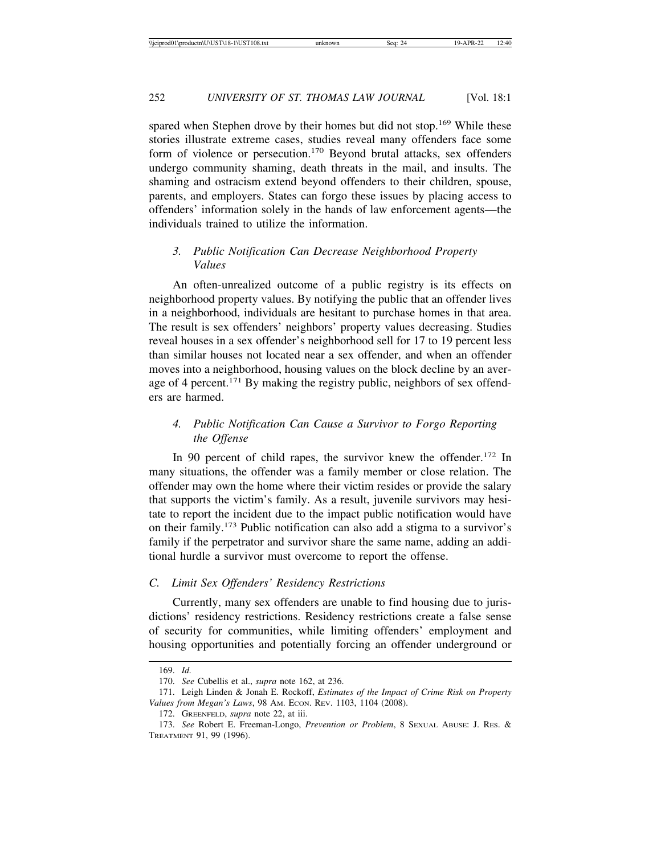spared when Stephen drove by their homes but did not stop.<sup>169</sup> While these stories illustrate extreme cases, studies reveal many offenders face some form of violence or persecution.<sup>170</sup> Beyond brutal attacks, sex offenders undergo community shaming, death threats in the mail, and insults. The shaming and ostracism extend beyond offenders to their children, spouse, parents, and employers. States can forgo these issues by placing access to offenders' information solely in the hands of law enforcement agents—the individuals trained to utilize the information.

#### *3. Public Notification Can Decrease Neighborhood Property Values*

An often-unrealized outcome of a public registry is its effects on neighborhood property values. By notifying the public that an offender lives in a neighborhood, individuals are hesitant to purchase homes in that area. The result is sex offenders' neighbors' property values decreasing. Studies reveal houses in a sex offender's neighborhood sell for 17 to 19 percent less than similar houses not located near a sex offender, and when an offender moves into a neighborhood, housing values on the block decline by an average of 4 percent.<sup>171</sup> By making the registry public, neighbors of sex offenders are harmed.

#### *4. Public Notification Can Cause a Survivor to Forgo Reporting the Offense*

In 90 percent of child rapes, the survivor knew the offender.<sup>172</sup> In many situations, the offender was a family member or close relation. The offender may own the home where their victim resides or provide the salary that supports the victim's family. As a result, juvenile survivors may hesitate to report the incident due to the impact public notification would have on their family.173 Public notification can also add a stigma to a survivor's family if the perpetrator and survivor share the same name, adding an additional hurdle a survivor must overcome to report the offense.

#### *C. Limit Sex Offenders' Residency Restrictions*

Currently, many sex offenders are unable to find housing due to jurisdictions' residency restrictions. Residency restrictions create a false sense of security for communities, while limiting offenders' employment and housing opportunities and potentially forcing an offender underground or

<sup>169.</sup> *Id.*

<sup>170.</sup> *See* Cubellis et al., *supra* note 162, at 236.

<sup>171.</sup> Leigh Linden & Jonah E. Rockoff, *Estimates of the Impact of Crime Risk on Property Values from Megan's Laws*, 98 AM. ECON. REV. 1103, 1104 (2008).

<sup>172.</sup> GREENFELD, *supra* note 22, at iii.

<sup>173.</sup> *See* Robert E. Freeman-Longo, *Prevention or Problem*, 8 SEXUAL ABUSE: J. RES. & TREATMENT 91, 99 (1996).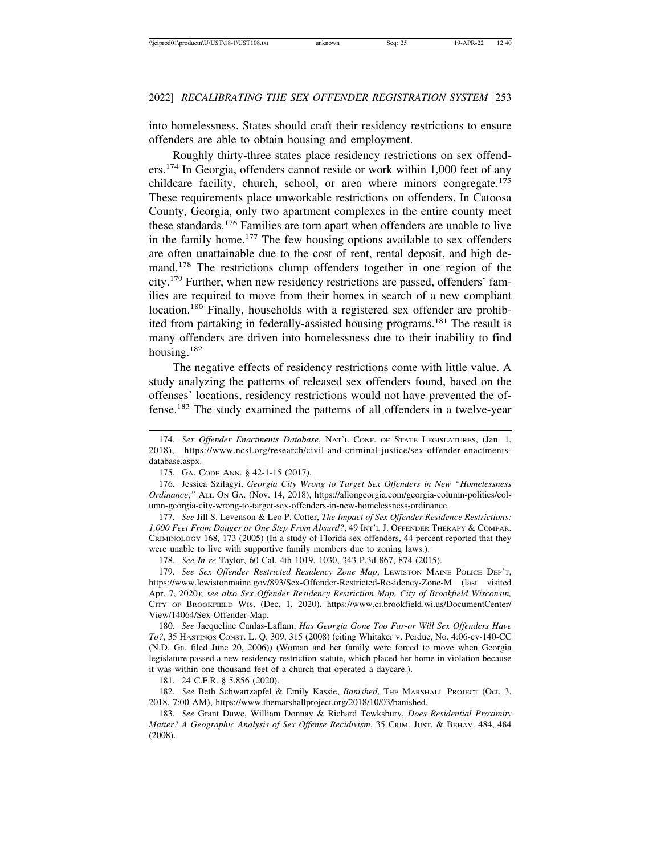into homelessness. States should craft their residency restrictions to ensure offenders are able to obtain housing and employment.

Roughly thirty-three states place residency restrictions on sex offenders.174 In Georgia, offenders cannot reside or work within 1,000 feet of any childcare facility, church, school, or area where minors congregate.<sup>175</sup> These requirements place unworkable restrictions on offenders. In Catoosa County, Georgia, only two apartment complexes in the entire county meet these standards.176 Families are torn apart when offenders are unable to live in the family home.<sup>177</sup> The few housing options available to sex offenders are often unattainable due to the cost of rent, rental deposit, and high demand.<sup>178</sup> The restrictions clump offenders together in one region of the city.179 Further, when new residency restrictions are passed, offenders' families are required to move from their homes in search of a new compliant location.<sup>180</sup> Finally, households with a registered sex offender are prohibited from partaking in federally-assisted housing programs.<sup>181</sup> The result is many offenders are driven into homelessness due to their inability to find housing.182

The negative effects of residency restrictions come with little value. A study analyzing the patterns of released sex offenders found, based on the offenses' locations, residency restrictions would not have prevented the offense.183 The study examined the patterns of all offenders in a twelve-year

177. *See* Jill S. Levenson & Leo P. Cotter, *The Impact of Sex Offender Residence Restrictions: 1,000 Feet From Danger or One Step From Absurd?*, 49 INT'L J. OFFENDER THERAPY & COMPAR. CRIMINOLOGY 168, 173 (2005) (In a study of Florida sex offenders, 44 percent reported that they were unable to live with supportive family members due to zoning laws.).

178. *See In re* Taylor, 60 Cal. 4th 1019, 1030, 343 P.3d 867, 874 (2015).

179. See Sex Offender Restricted Residency Zone Map, LEWISTON MAINE POLICE DEP'T, https://www.lewistonmaine.gov/893/Sex-Offender-Restricted-Residency-Zone-M (last visited Apr. 7, 2020); *see also Sex Offender Residency Restriction Map, City of Brookfield Wisconsin,* CITY OF BROOKFIELD WIS. (Dec. 1, 2020), https://www.ci.brookfield.wi.us/DocumentCenter/ View/14064/Sex-Offender-Map.

180. *See* Jacqueline Canlas-Laflam, *Has Georgia Gone Too Far-or Will Sex Offenders Have To?*, 35 HASTINGS CONST. L. Q. 309, 315 (2008) (citing Whitaker v. Perdue, No. 4:06-cv-140-CC (N.D. Ga. filed June 20, 2006)) (Woman and her family were forced to move when Georgia legislature passed a new residency restriction statute, which placed her home in violation because it was within one thousand feet of a church that operated a daycare.).

181. 24 C.F.R. § 5.856 (2020).

182. See Beth Schwartzapfel & Emily Kassie, *Banished*, THE MARSHALL PROJECT (Oct. 3, 2018, 7:00 AM), https://www.themarshallproject.org/2018/10/03/banished.

183. *See* Grant Duwe, William Donnay & Richard Tewksbury, *Does Residential Proximity Matter? A Geographic Analysis of Sex Offense Recidivism*, 35 CRIM. JUST. & BEHAV. 484, 484 (2008).

<sup>174.</sup> *Sex Offender Enactments Database*, NAT'L CONF. OF STATE LEGISLATURES, (Jan. 1, 2018), https://www.ncsl.org/research/civil-and-criminal-justice/sex-offender-enactmentsdatabase.aspx.

<sup>175.</sup> GA. CODE ANN. § 42-1-15 (2017).

<sup>176.</sup> Jessica Szilagyi, *Georgia City Wrong to Target Sex Offenders in New "Homelessness Ordinance*,*"* ALL ON GA. (Nov. 14, 2018), https://allongeorgia.com/georgia-column-politics/column-georgia-city-wrong-to-target-sex-offenders-in-new-homelessness-ordinance.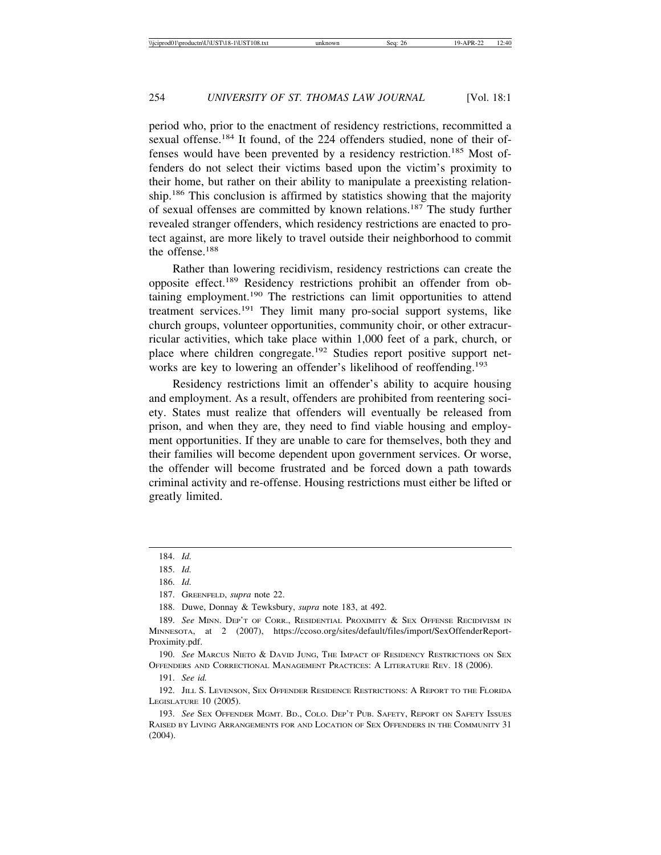period who, prior to the enactment of residency restrictions, recommitted a sexual offense.<sup>184</sup> It found, of the 224 offenders studied, none of their offenses would have been prevented by a residency restriction.185 Most offenders do not select their victims based upon the victim's proximity to their home, but rather on their ability to manipulate a preexisting relationship.186 This conclusion is affirmed by statistics showing that the majority of sexual offenses are committed by known relations.187 The study further revealed stranger offenders, which residency restrictions are enacted to protect against, are more likely to travel outside their neighborhood to commit the offense.188

Rather than lowering recidivism, residency restrictions can create the opposite effect.189 Residency restrictions prohibit an offender from obtaining employment.190 The restrictions can limit opportunities to attend treatment services.191 They limit many pro-social support systems, like church groups, volunteer opportunities, community choir, or other extracurricular activities, which take place within 1,000 feet of a park, church, or place where children congregate.<sup>192</sup> Studies report positive support networks are key to lowering an offender's likelihood of reoffending.<sup>193</sup>

Residency restrictions limit an offender's ability to acquire housing and employment. As a result, offenders are prohibited from reentering society. States must realize that offenders will eventually be released from prison, and when they are, they need to find viable housing and employment opportunities. If they are unable to care for themselves, both they and their families will become dependent upon government services. Or worse, the offender will become frustrated and be forced down a path towards criminal activity and re-offense. Housing restrictions must either be lifted or greatly limited.

188. Duwe, Donnay & Tewksbury, *supra* note 183, at 492.

190. *See* MARCUS NIETO & DAVID JUNG, THE IMPACT OF RESIDENCY RESTRICTIONS ON SEX OFFENDERS AND CORRECTIONAL MANAGEMENT PRACTICES: A LITERATURE REV. 18 (2006).

191. *See id.*

192. JILL S. LEVENSON, SEX OFFENDER RESIDENCE RESTRICTIONS: A REPORT TO THE FLORIDA LEGISLATURE 10 (2005).

193. *See* SEX OFFENDER MGMT. BD., COLO. DEP'T PUB. SAFETY, REPORT ON SAFETY ISSUES RAISED BY LIVING ARRANGEMENTS FOR AND LOCATION OF SEX OFFENDERS IN THE COMMUNITY 31 (2004).

<sup>184.</sup> *Id.*

<sup>185.</sup> *Id.*

<sup>186.</sup> *Id.*

<sup>187.</sup> GREENFELD, *supra* note 22.

<sup>189.</sup> *See* MINN. DEP'T OF CORR., RESIDENTIAL PROXIMITY & SEX OFFENSE RECIDIVISM IN MINNESOTA, at 2 (2007), https://ccoso.org/sites/default/files/import/SexOffenderReport-Proximity.pdf.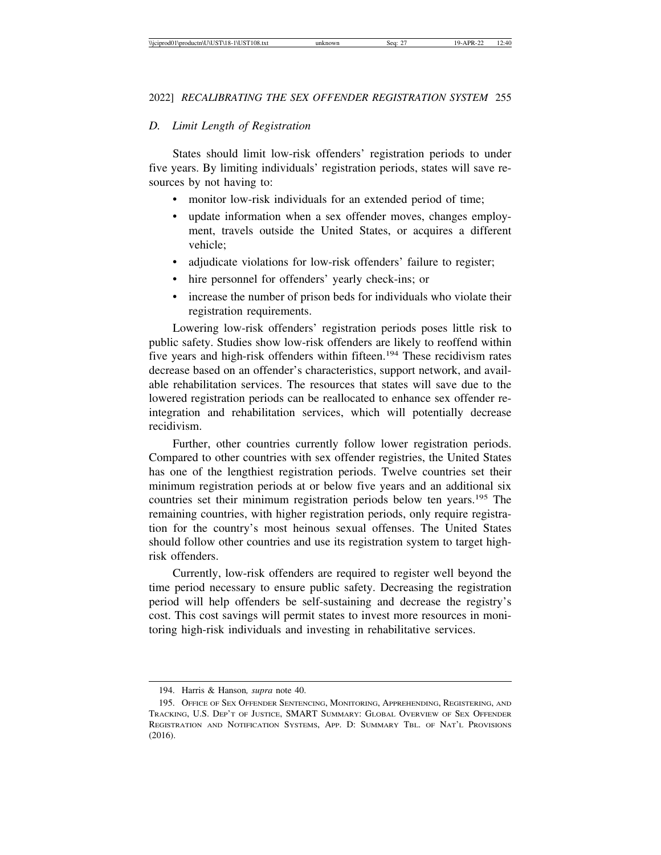#### *D. Limit Length of Registration*

States should limit low-risk offenders' registration periods to under five years. By limiting individuals' registration periods, states will save resources by not having to:

- monitor low-risk individuals for an extended period of time;
- update information when a sex offender moves, changes employment, travels outside the United States, or acquires a different vehicle;
- adjudicate violations for low-risk offenders' failure to register;
- hire personnel for offenders' yearly check-ins; or
- increase the number of prison beds for individuals who violate their registration requirements.

Lowering low-risk offenders' registration periods poses little risk to public safety. Studies show low-risk offenders are likely to reoffend within five years and high-risk offenders within fifteen.194 These recidivism rates decrease based on an offender's characteristics, support network, and available rehabilitation services. The resources that states will save due to the lowered registration periods can be reallocated to enhance sex offender reintegration and rehabilitation services, which will potentially decrease recidivism.

Further, other countries currently follow lower registration periods. Compared to other countries with sex offender registries, the United States has one of the lengthiest registration periods. Twelve countries set their minimum registration periods at or below five years and an additional six countries set their minimum registration periods below ten years.195 The remaining countries, with higher registration periods, only require registration for the country's most heinous sexual offenses. The United States should follow other countries and use its registration system to target highrisk offenders.

Currently, low-risk offenders are required to register well beyond the time period necessary to ensure public safety. Decreasing the registration period will help offenders be self-sustaining and decrease the registry's cost. This cost savings will permit states to invest more resources in monitoring high-risk individuals and investing in rehabilitative services.

<sup>194.</sup> Harris & Hanson*, supra* note 40.

<sup>195.</sup> OFFICE OF SEX OFFENDER SENTENCING, MONITORING, APPREHENDING, REGISTERING, AND TRACKING, U.S. DEP'T OF JUSTICE, SMART SUMMARY: GLOBAL OVERVIEW OF SEX OFFENDER REGISTRATION AND NOTIFICATION SYSTEMS, APP. D: SUMMARY TBL. OF NAT'L PROVISIONS (2016).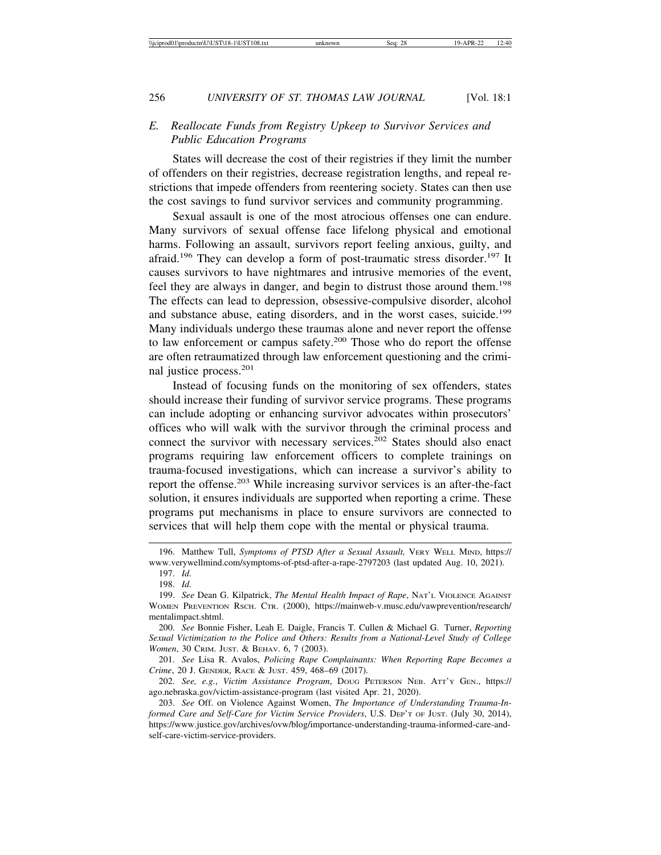#### *E. Reallocate Funds from Registry Upkeep to Survivor Services and Public Education Programs*

States will decrease the cost of their registries if they limit the number of offenders on their registries, decrease registration lengths, and repeal restrictions that impede offenders from reentering society. States can then use the cost savings to fund survivor services and community programming.

Sexual assault is one of the most atrocious offenses one can endure. Many survivors of sexual offense face lifelong physical and emotional harms. Following an assault, survivors report feeling anxious, guilty, and afraid.<sup>196</sup> They can develop a form of post-traumatic stress disorder.<sup>197</sup> It causes survivors to have nightmares and intrusive memories of the event, feel they are always in danger, and begin to distrust those around them.<sup>198</sup> The effects can lead to depression, obsessive-compulsive disorder, alcohol and substance abuse, eating disorders, and in the worst cases, suicide.<sup>199</sup> Many individuals undergo these traumas alone and never report the offense to law enforcement or campus safety.200 Those who do report the offense are often retraumatized through law enforcement questioning and the criminal justice process.<sup>201</sup>

Instead of focusing funds on the monitoring of sex offenders, states should increase their funding of survivor service programs. These programs can include adopting or enhancing survivor advocates within prosecutors' offices who will walk with the survivor through the criminal process and connect the survivor with necessary services.<sup>202</sup> States should also enact programs requiring law enforcement officers to complete trainings on trauma-focused investigations, which can increase a survivor's ability to report the offense.203 While increasing survivor services is an after-the-fact solution, it ensures individuals are supported when reporting a crime. These programs put mechanisms in place to ensure survivors are connected to services that will help them cope with the mental or physical trauma.

<sup>196.</sup> Matthew Tull, *Symptoms of PTSD After a Sexual Assault,* VERY WELL MIND, https:// www.verywellmind.com/symptoms-of-ptsd-after-a-rape-2797203 (last updated Aug. 10, 2021).

<sup>197.</sup> *Id.*

<sup>198.</sup> *Id.*

<sup>199.</sup> *See* Dean G. Kilpatrick, *The Mental Health Impact of Rape*, NAT'L VIOLENCE AGAINST WOMEN PREVENTION RSCH. CTR. (2000), https://mainweb-v.musc.edu/vawprevention/research/ mentalimpact.shtml.

<sup>200.</sup> *See* Bonnie Fisher, Leah E. Daigle, Francis T. Cullen & Michael G. Turner, *Reporting Sexual Victimization to the Police and Others: Results from a National-Level Study of College Women*, 30 CRIM. JUST. & BEHAV. 6, 7 (2003).

<sup>201.</sup> *See* Lisa R. Avalos, *Policing Rape Complainants: When Reporting Rape Becomes a Crime*, 20 J. GENDER, RACE & JUST. 459, 468–69 (2017).

<sup>202.</sup> *See, e.g.*, *Victim Assistance Program*, DOUG PETERSON NEB. ATT'Y GEN., https:// ago.nebraska.gov/victim-assistance-program (last visited Apr. 21, 2020).

<sup>203.</sup> *See* Off. on Violence Against Women, *The Importance of Understanding Trauma-Informed Care and Self-Care for Victim Service Providers*, U.S. DEP'T OF JUST. (July 30, 2014), https://www.justice.gov/archives/ovw/blog/importance-understanding-trauma-informed-care-andself-care-victim-service-providers.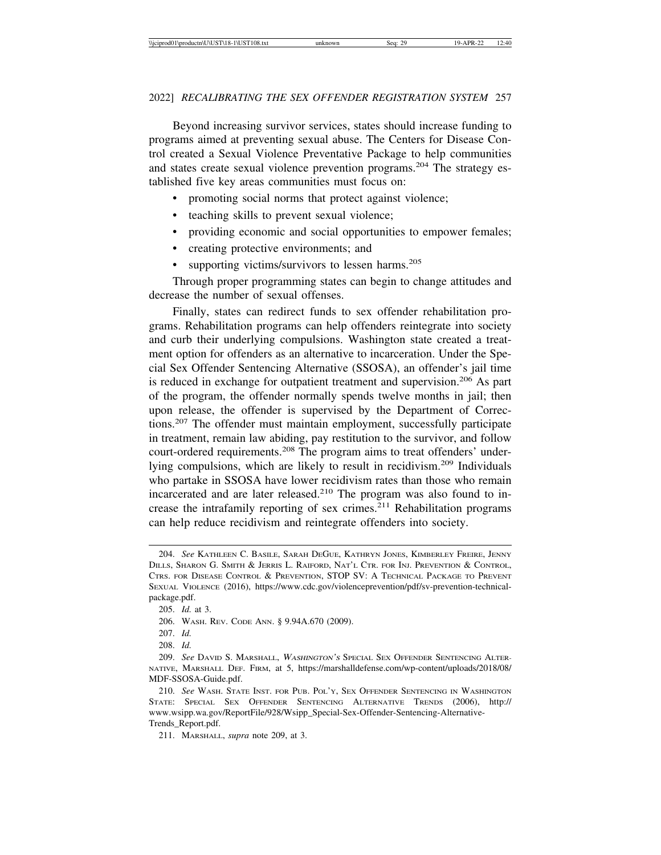Beyond increasing survivor services, states should increase funding to programs aimed at preventing sexual abuse. The Centers for Disease Control created a Sexual Violence Preventative Package to help communities and states create sexual violence prevention programs.<sup>204</sup> The strategy established five key areas communities must focus on:

- promoting social norms that protect against violence;
- teaching skills to prevent sexual violence;
- providing economic and social opportunities to empower females;
- creating protective environments; and
- supporting victims/survivors to lessen harms.<sup>205</sup>

Through proper programming states can begin to change attitudes and decrease the number of sexual offenses.

Finally, states can redirect funds to sex offender rehabilitation programs. Rehabilitation programs can help offenders reintegrate into society and curb their underlying compulsions. Washington state created a treatment option for offenders as an alternative to incarceration. Under the Special Sex Offender Sentencing Alternative (SSOSA), an offender's jail time is reduced in exchange for outpatient treatment and supervision.<sup>206</sup> As part of the program, the offender normally spends twelve months in jail; then upon release, the offender is supervised by the Department of Corrections.207 The offender must maintain employment, successfully participate in treatment, remain law abiding, pay restitution to the survivor, and follow court-ordered requirements.<sup>208</sup> The program aims to treat offenders' underlying compulsions, which are likely to result in recidivism.209 Individuals who partake in SSOSA have lower recidivism rates than those who remain incarcerated and are later released.210 The program was also found to increase the intrafamily reporting of sex crimes.211 Rehabilitation programs can help reduce recidivism and reintegrate offenders into society.

<sup>204.</sup> *See* KATHLEEN C. BASILE, SARAH DEGUE, KATHRYN JONES, KIMBERLEY FREIRE, JENNY DILLS, SHARON G. SMITH & JERRIS L. RAIFORD, NAT'L CTR. FOR INJ. PREVENTION & CONTROL, CTRS. FOR DISEASE CONTROL & PREVENTION, STOP SV: A TECHNICAL PACKAGE TO PREVENT SEXUAL VIOLENCE (2016), https://www.cdc.gov/violenceprevention/pdf/sv-prevention-technicalpackage.pdf.

<sup>205.</sup> *Id.* at 3.

<sup>206.</sup> WASH. REV. CODE ANN. § 9.94A.670 (2009).

<sup>207.</sup> *Id.*

<sup>208.</sup> *Id.*

<sup>209.</sup> *See* DAVID S. MARSHALL, <sup>W</sup>ASHINGTON'<sup>S</sup> SPECIAL SEX OFFENDER SENTENCING ALTER-NATIVE, MARSHALL DEF. FIRM, at 5, https://marshalldefense.com/wp-content/uploads/2018/08/ MDF-SSOSA-Guide.pdf.

<sup>210.</sup> *See* WASH. STATE INST. FOR PUB. POL'Y, SEX OFFENDER SENTENCING IN WASHINGTON STATE: SPECIAL SEX OFFENDER SENTENCING ALTERNATIVE TRENDS (2006), http:// www.wsipp.wa.gov/ReportFile/928/Wsipp\_Special-Sex-Offender-Sentencing-Alternative-Trends\_Report.pdf.

<sup>211.</sup> MARSHALL, *supra* note 209, at 3.